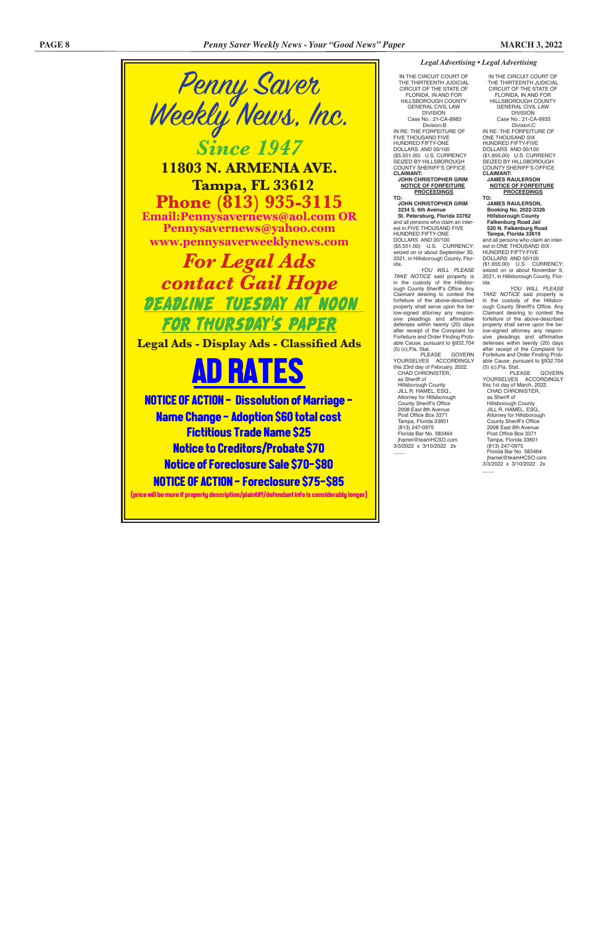IN THE CIRCUIT COURT OF THE THIRTEENTH JUDICIAL CIRCUIT OF THE STATE OF FLORIDA, IN AND FOR HILLSBOROUGH COUNTY GENERAL CIVIL LAW DIVISION Case No.: 21-CA-9933 Division:C IN RE: THE FORFEITURE OF ONE THOUSAND SIX HUNDRED FIFTY-FIVE DOLLARS AND 00/100 (\$1,655.00) U.S. CURRENCY SEIZED BY HILLSBOROUGH COUNTY SHERIFF'S OFFICE **CLAIMANT: JAMES RAULERSON**

 **NOTICE OF FORFEITURE PROCEEDINGS TO:**

 **JAMES RAULERSON, Booking No. 2022-3326 Hillsborough County Falkenburg Road Jail 520 N. Falkenburg Road Tampa, Florida 33619** and all persons who claim an interest in:ONE THOUSAND SIX

HUNDRED FIFTY-FIVE DOLLARS AND 00/100 (\$1,655.00) U.S. CURRENCY; seized on or about November 9, 2021, in Hillsborough County, Florida.

*YOU WILL PLEASE TAKE NOTICE* said property is in the custody of the Hillsborough County Sheriff's Office. Any Claimant desiring to contest the forfeiture of the above-described property shall serve upon the below-signed attorney any responsive pleadings and affirmative defenses within twenty (20) days after receipt of the Complaint for Forfeiture and Order Finding Probable Cause, pursuant to §932.704 (5) (c),Fla. Stat.

HUNDRED FIFTY-ONE DOLLARS AND 00/100 (\$5,551.00) U.S. CURRENCY; seized on or about September 30, 2021, in Hillsborough County, Flor-

> PLEASE GOVERN YOURSELVES ACCORDINGLY this 1st day of March, 2022. CHAD CHRONISTER,

 Hillsborough County JILL R. HAMEL, ESQ., Attorney for Hillsborough County Sheriff's Office 2008 East 8th Avenue Post Office Box 3371 Tampa, Florida 33601 (813) 247-0975 Florida Bar No. 583464 jhamel@teamHCSO.com 3/3/2022 x 3/10/2022 2x  $\overline{\phantom{a}}$ 

 as Sheriff of Hillsborough County JILL R. HAMEL, ESQ., Attorney for Hillsborough County Sheriff's Office 2008 East 8th Avenue Post Office Box 3371 Tampa, Florida 33601 (813) 247-0975 Florida Bar No. 583464 jhamel@teamHCSO.com 3/3/2022 x 3/10/2022 2x

 $\overline{\phantom{a}}$ 

### *Legal Advertising • Legal Advertising*

IN THE CIRCUIT COURT OF THE THIRTEENTH JUDICIAL CIRCUIT OF THE STATE OF FLORIDA, IN AND FOR HILL SBOROUGH COUNTY GENERAL CIVIL LAW DIVISION Case No.: 21-CA-8983 Division:B IN RE: THE FORFEITURE OF FIVE THOUSAND FIVE HUNDRED FIFTY-ONE DOLLARS AND 00/100 (\$5,551.00) U.S. CURRENCY SEIZED BY HILLSBOROUGH COUNTY SHERIFF'S OFFICE **CLAIMANT: JOHN CHRISTOPHER GRIM NOTICE OF FORFEITURE PROCEEDINGS JOHN CHRISTOPHER GRIM 3234 S. 6th Avenue St. Petersburg, Florida 33762** and all persons who claim an interest in:FIVE THOUSAND FIVE

ida. *YOU WILL PLEASE TAKE NOTICE* said property is in the custody of the Hillsborough County Sheriff's Office. Any Claimant desiring to contest the forfeiture of the above-described property shall serve upon the below-signed attorney any responsive pleadings and affirmative defenses within twenty (20) days after receipt of the Complaint for Forfeiture and Order Finding Probable Cause, pursuant to §932.704 (5) (c),Fla. Stat.

PLEASE GOVERN YOURSELVES ACCORDINGLY this 23rd day of February, 2022. CHAD CHRONISTER, as Sheriff of

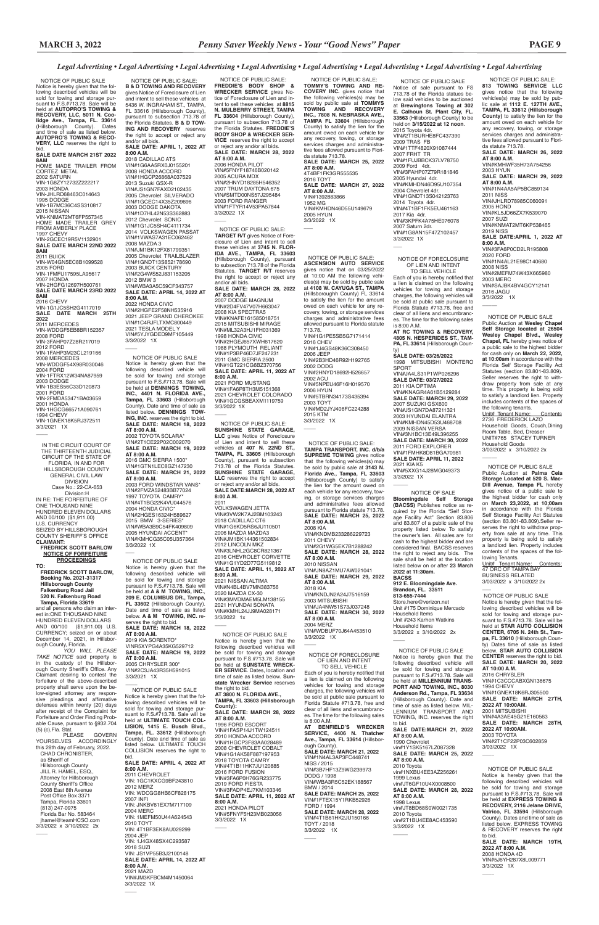NOTICE OF PUBLIC SALE:

 NOTICE OF PUBLIC SALE Public Auction at **Wesley Chapel Self Storage located at 26504 Wesley Chapel Blvd., Wesley Chapel, FL** hereby gives notice of a public sale to the highest bidder for cash only on **March 22, 2022, at 10:00am** in accordance with the Florida Self Storage Facility Act Statutes (section 83.801-83.809). Seller reserves the right to withdraw property from sale at any time. This property is being sold to satisfy a landlord lien. Property includes contents of the spaces of the following tenants. Unit# Tenant Name: Contents 2736 FREDERICK LAZO Household Goods, Couch,Dining Room Table, Bed, Dresser UNIT#765 STACEY TURNER Household Goods 3/03/2022 x 3/10/2022 2x  $\overline{\phantom{a}}$ 

 $\overline{\phantom{a}}$ 

**813 TOWING SERVICE LLC**  gives notice that the following vehicles(s) may be sold by public sale at **1112 E. 127TH AVE., TAMPA, FL 33612 (Hillsborough County)** to satisfy the lien for the amount owed on each vehicle for any recovery, towing, or storage services charges and administrative fees allowed pursuant to Florida statute 713.78. **SALE DATE: MARCH 26, 2022 AT 8:00 A.M.** VIN#KMHWF35H73A754256 2003 HYUN **SALE DATE: MARCH 29, 2022 AT 8:00 A.M.** VIN#1N4AA5AP5BC859134 2011 NISS VIN#JHLRD78985C060091 2005 HOND VIN#KL5JD66ZX7K539070 2007 SUZI VIN#KNMAT2MT6KP538465 2019 NISS **SALE DATE:APRIL 1, 2022 AT 8:00 A.M.** VIN#3FA6P0CD2LR195808 2020 FORD VIN#1N4AL21E98C140680 2008 NISS VIN#2MEFM74W43X665980 2003 MERC VIN#SAJBK4BV4GCY12141 2016 JAGU 3/3/2022 1X

\_\_\_\_ to bid. NOTICE OF PUBLIC SALE Notice is hereby given that the following described vehicle will be sold for towing and storage pursuant to F.S.#713.78. Sale will be held at **MILLENNIUM TRANS-PORT AND TOWING, INC., 8030 Anderson Rd., Tampa, FL 33634**  (Hillsborough County). Date and time of sale as listed below. MIL-LENNIUM TRANSPORT AND TOWING, INC. reserves the right to bid. **SALE DATE:MARCH 21, 2022 AT 8:00 A.M.** 1990 Chevrolet vin#1Y1SK5167LZ087328 **SALE DATE: MARCH 25, 2022 AT 8:00 A.M.** 2010 Toyota vin#1NXBU4EE3AZ256261 1999 Lexus vin#JT6GF10U4X0008500 **SALE DATE: MARCH 28, 2022 AT 8:00 A.M.** 1998 Lexus vin#JT8BD68S0W0021735 2010 Toyota vin#2T1BU4EE8AC453590 3/3/2022 1X  $\overline{\phantom{a}}$ 

 NOTICE OF PUBLIC SALE Public Auction at **Palma Ceia Storage Located at 520 S. Mac-Dill Avenue, Tampa FL** hereby gives notice of a public sale to the highest bidder for cash only on **March 23,2022, at 10;00am**  in accordance with the Florida Self Storage Facility Act Statutes (section 83.801-83.809).Seller reserves the right to withdraw property from sale at any time. This property is being sold to satisfy a landlord lien. Property includes contents of the spaces of the following Tenants.

a lien is claimed on the following vehicles for towing and storage charges, the following vehicles will be sold at public sale pursuant to Florida Statute #713.78, free and clear of all liens and encumbrances. The time for the following sales is 8:00 A.M. **AT BENFIELD'S WRECKER SERVICE, 4406 N. Thatcher Ave., Tampa, FL 33614** (Hillsborough County). **SALE DATE: MARCH 21, 2022** VIN#1N4AL3AP3FC448741 NISS / 2015 VIN#3B7HF13Z9WG239973 DODG / 1998 VIN#WBA3R5C52EK188567 BMW / 2014 **SALE DATE: MARCH 25, 2022** VIN#1FTEX15Y1RKB52926 FORD / 1994 **SALE DATE: MARCH 28, 2022** VIN#4T1B61HK2JU150166 TOYT / 2018<br>3/3/2022 1X 3/3/2022

 $\overline{\phantom{a}}$ 

Unit# Tenant Name: Contents: 47 ORC OF TAMPA BAY BUSINESS RELATED 3/03/2022 x 3/10/2022 2x

 $\overline{\phantom{a}}$ 

VIN#5XXG14J28MG049373 3/3/2022 1X  $\overline{\phantom{a}}$ 

> NOTICE OF PUBLIC SALE Notice is hereby given that the following described vehicles will be sold for towing and storage pursuant to F.S.#713.78. Sale will be held at **STAR AUTO COLLISION CENTER, 6705 N. 24th St., Tampa, FL 33610** (Hillsborough County) Dates time of sale as listed below. **STAR AUTO COLLISION CENTER** reserves the right to bid. **SALE DATE: MARCH 20, 2022 AT 10:00 A.M.** 2016 CHRYSLER VIN#1C3CCCABXGN136675 1994 CHEVY VIN#1GNEK18K6RJ305500 **SALE DATE: MARCH 27TH, 2022 AT 10:00AM.** 2001 MITSUBISHI VIN#4A3AE45G21E160563 **SALE DATE: MARCH 28TH, 2022 AT 10:00AM.** 2003 TOYOTA VIN#2T1CF22P03C602859 3/03/2022 1X NOTICE OF PUBLIC SALE Notice is hereby given that the following described vehicles will be sold for towing and storage pursuant to F.S.#713.78. Sale will be held at **EXPRESS TOWING & RECOVERY, 2116 Jelane DRIVE, Valrico, FL 33594** (Hillsborough County). Dates and time of sale as listed below. EXPRESS TOWING & RECOVERY reserves the right **SALE DATE: MARCH 19TH, 2022 AT 8:00 A.M.** 2008 HONDA 4D VIN#5J6YH287X8L009771 3/3/2022 1X \_\_\_\_

 NOTICE OF PUBLIC SALE: **TOMMY'S TOWING AND RE-COVERY INC.** gives notice that the following vehicles(s) may be sold by public sale at **TOMMYS TOWING AND RECOVERY INC., 7808 N. NEBRASKA AVE., TAMPA FL 33604** (Hillsborough County) to satisfy the lien for the amount owed on each vehicle for any recovery, towing, or storage services charges and administrative fees allowed pursuant to Florida statute 713.78. **SALE DATE: MARCH 25, 2022 AT 8:00 A.M.** 4T4BF1FK3GR555535 2016 TOYT **SALE DATE: MARCH 27, 2022 AT 8:00 A.M.** VIN#1392883866 1952 MG VIN#KMHDN46D55U149679 2005 HYUN 3/3/2022 1X  $\overline{\phantom{a}}$ 

 NOTICE OF PUBLIC SALE Notice of sale pursuant to FS 713.78 of the Florida statues below said vehicles to be auctioned at **Brewingtons Towing at 302 E. Calhoun St. Plant City, FL. 33563** (Hillsborough County) to be held on **3/15/2022 at 12 noon**. 2015 Toyota 4dr. VIN#2T1BURHE8FC437390 2009 TRAS FB VIN#1TTF4820X91087444 2007 FRHT TR VIN#1FUJBBCK37LV78750 2009 Ford 4dr. VIN#3FAHP07Z79R181846 2005 Hyundai 4dr. VIN#KMHDN46D95U107354 2004 Chevrolet 4dr. VIN#1GNDT13S042123763 2014 Toyota 4dr. VIN#4T1BF1FK5EU461163 2017 Kia 4dr. VIN#3KPFK4A75HE076078 2007 Saturn 2dr. VIN#1G8AN15F47Z102457 3/3/2022 1X

NOTICE OF FORECLOSURE OF LIEN AND INTENT TO SELL VEHICLE Each of you is hereby notified that

 NOTICE OF PUBLIC SALE: **TAMPA TRANSPORT, INC. d/b/a SUPREME TOWING** gives notice that the following vehicles(s) may be sold by public sale at **3143 N. Florida Ave., Tampa, FL 33603**  (Hillsborough County) to satisfy the lien for the amount owed on each vehicle for any recovery, towing, or storage services charges and administrative fees allowed pursuant to Florida statute 713.78. **SALE DATE: MARCH 25, 2022 AT 8:00 A.M.** 2008 KIA VIN#KNDMB233286229723 2011 CHEVY VIN#2G1WG5EK7B1288242 **SALE DATE: MARCH 28, 2022 AT 8:00 A.M.** 2010 NISSAN VIN#JN8AZ1MU7AW021041 **SALE DATE: MARCH 29, 2022 AT 8:00 A.M.** 2018 KIA VIN#KNDJN2A24J7516159 2003 MITSUBISHI VIN#JA4NW51S73J037248 **SALE DATE: MARCH 30, 2022 AT 8:00 A.M.** 2004 MERZ VIN#WDBUF70J64A453510 3/3/2022 1X  $\overline{\phantom{a}}$ 

NOTICE OF PUBLIC SALE Notice is hereby given that the following described vehicles will be sold for towing and storage pursuant to F.S.#713.78. Sale will be held at **SUNSTATE WRECK-ER SERVICE**. Dates, location and time of sale as listed below. **Sun-state Wrecker Service** reserves the right to bid. **AT 3800 N. FLORIDA AVE., TAMPA, FL 33603 (Hillsborough County): SALE DATE: MARCH 28, 2022 AT 8:00 A.M.** 1996 FORD ESCORT VIN#1FASP14J1TW124511 2010 HONDA ACCORD VIN#1HGCP3F83AA028489 2008 CHEVROLET COBALT VIN#1G1AK58F887197953 2018 TOYOTA CAMRY VIN#4T1B11HK7JU120885 2016 FORD FUSION VIN#3FA6P0H76GR233775 2019 FORD FIESTA VIN#3FADP4EJ7KM103346 **SALE DATE: APRIL 11, 2022 AT 8:00 A.M.**  2021 HONDA PILOT VIN#5FNYF5H23MB023056 3/3/2022 1X  $\overline{\phantom{a}}$ 

NOTICE OF FORECLOSURE OF LIEN AND INTENT TO SELL VEHICLE

 $\overline{\phantom{a}}$ 

Each of you is hereby notified that a lien is claimed on the following vehicles for towing and storage charges, the following vehicles will be sold at public sale pursuant to Florida Statute #713.78, free and clear of all liens and encumbrances. The time for the following sales is 8:00 A.M. **AT RC TOWING & RECOVERY,** 

**4805 N. HESPERIDES ST., TAM-PA, FL 33614** (Hillsborough County) **SALE DATE: 03/26/2022**

1998 MITSUBISHI MONTERO SPORT VIN#JA4LS31P1WP026296 **SALE DATE: 03/27/2022** 2011 KIA OPTIMA VIN#KNAGR4A61B5129284 **SALE DATE: MARCH 29, 2022** 2007 SUZUKI GSX600 VIN#JS1GN7DA87211321 2003 HYUNDAI ELANTRA VIN#KMHDN45D53U468708 2009 NISSAN VERSA VIN#3N1BC13E49L396255 **SALE DATE: MARCH 30, 2022** 2011 FORD EXPLORER VIN#1FMHK8D81BGA70981 **SALE DATE: APRIL 11, 2022** 2021 KIA K5

3/3/2021 1X  $\overline{\phantom{a}}$ 

> NOTICE OF SALE **Bloomingdale Self Storage (BACSS)** Publishes notice as required by the Florida "Self Storage Facility Act" Section 83.806 and 83.807 of a public sale of the property listed below To satisfy the owner's lien. All sales are for cash to the highest bidder and are considered final. BACSS reserves the right to reject any bids. The sale shall be held at the location listed below on or after **23 March 2022 at 11:30am. BACSS 912 E. Bloomingdale Ave. Brandon, FL. 33511 813-655-7444**

VIN#2HGFE2F58NH535916 2021 JEEP GRAND CHEROKEE VIN#1C4RJFLTXMC800449 2021 TESLA MODEL Y VIN#5YJYGDED9MF105449 3/3/2022 1X  $\overline{\phantom{a}}$ 

2006 HONDA PILOT VIN#5FNYF18746B020142 2005 ACURA MDX VIN#2HNYD18285H546352 2007 TRUM DAYTONA 675 VIN#SMTD00NS57J295484 2003 FORD RANGER VIN#1FTYR14V53PA57844 3/3/2022 1X  $\overline{\phantom{a}}$ 

> Store.here@verizon.net Unit #175 Dominique Mercado Household Items Unit #243 Karhon Watkins Household Items 3/3/2022 x 3/10/2022 2x

 $\overline{\phantom{a}}$ 

VIN#N4BL4BV7MN383756 2020 MAZDA CX-30 VIN#3MVDMAEM5LM138155 2021 HYUNDAI SONATA VIN#KMHL24JJ9MA028171 3/3/2022 1x  $\overline{\phantom{a}}$ 

 NOTICE OF PUBLIC SALE: **ASCENSION AUTO SERVICE**  gives notice that on 03/25/2022 at 10:00 AM the following vehicles(s) may be sold by public sale at **4108 W. CAYUGA ST., TAMPA** (Hillsboroughh County) FL 33614 to satisfy the lien for the amount owed on each vehicle for any recovery, towing, or storage services charges and administrative fees allowed pursuant to Florida statute 713.78. VIN#1G1PE5SB5G7171414 2016 CHEV VIN#1J4GS48K36C308450 2006 JEEP VIN#2B3HD46R92H192765 2002 DODG VIN#2HNYD18692H526657 2002 ACU VIN#5NPEU46F16H019570 2006 HYUN VIN#5TBRN34173S435394 2003 TOYT VIN#MD2JYJ406FC224288 2015 KTM 3/3/2022 1X

 $\overline{\phantom{a}}$ 

**GOVERN** YOURSELVES ACCORDINGLY this 28th day of February, 2022. CHAD CHRONISTER, as Sheriff of Hillsborough County JILL R. HAMEL, ESQ. Attorney for Hillsborough County Sheriff's Office 2008 East 8th Avenue Post Office Box 3371 Tampa, Florida 33601 (813) 247-0975 Florida Bar No. 583464 jhamel@teamHCSO.com 3/3/2022 x 3/10/2022 2x

 $\overline{\phantom{a}}$ 

 NOTICE OF PUBLIC SALE Notice is hereby given that the following described vehicles will be sold for towing and storage pursuant to F.S.#713.78. Sale will be held at **AUTOPRO'S TOWING & RECOVERY, LLC, 5011 N. Coo-lidge Ave., Tampa, FL. 33614** (Hillsborough County). Dates and time of sale as listed below. **AUTOPRO'S TOWING & RECO-VERY, LLC** reserves the right to bid. **SALE DATE MARCH 21ST 2022 8AM** HOME MADE TRAILER FROM CORTEZ METAL 2002 SATURN VIN-1G8ZY12732Z222217 2003 HONDA VIN-JHLRD68463C014643 1995 DODGE VIN-1B7MC36C4SS310817 2015 NISSAN VIN-KNMAT2MT6FP557345 HOME MADE TRAILER GREY FROM AMBERLY PLACE 1997 CHEVY VIN-2GCEC19R5V1132901 **SALE DATE MARCH 22ND 2022 8AM**<br>2011 BUICK<br>VIN-W04GN5EC8B1099528<br>2005 FORD VIN-1FMFU17595LA95617 2007 HONDA VIN-2HGFG12697H500761 **SALE DATE MARCH 23RD 2022 8AM** 2016 CHEVY VIN-1G1JC5SH2G4117019 **SALE DATE MARCH 25TH 2022** 2011 MERCEDES VIN-WDDGF5EB8BR152357 2008 FORD VIN-3FAHP07Z28R217019 2012 FORD VIN-1FAHP3M23CL219166 2008 MERCEDES VIN-WDDGF54X98R030046 2004 FORD<br>VIN-1FTRX12W34NA87959<br>2003 DODGE VIN-1B3ES56C33D120873 2001 FORD VIN-2FMDA53471BA03659 2001 HONDA VIN-1HGCG66571A090761 1994 CHEVY VIN-1GNEK18K5RJ372511

 NOTICE OF PUBLIC SALE: **B & D TOWING AND RECOVERY**  gives Notice of Foreclosure of Lien and intent to sell these vehicles at 5436 W. INGRAHAM ST., TAMPA, FL 33616 (Hillsborough County), pursuant to subsection 713.78 of the Florida Statutes. **B & D TOW-ING AND RECOVERY** reserves the right to accept or reject any and/or all bids. **SALE DATE: APRIL 1, 2022 AT 8:00 A.M.** 2018 CADILLAC ATS VIN#1G6AA5RX0J0155201 2008 HONDA ACCORD VIN#1HGCP26868A037529 2013 Suzuki GSX-R VIN#JS1GN7FAXD2102435 2005 Chevrolet SILVERADO VIN#1GCEC14X35Z209696 2003 DODGE DAKOTA VIN#1D7HL42N53S362883 2012 Chevrolet SONIC VIN#1G1JC5SH4C4111734 2014 VOLKSWAGEN PASSAT VIN#1VWAS7A31EC062462 2008 MAZDA 3 VIN#JM1BK12FX81799351 2005 Chevrolet TRAILBLAZER VIN#1GNDT13S852178690 2003 BUICK CENTURY VIN#2G4WS52J831153205 2012 BMW 3 VIN#WBA3A5C59CF343757 **SALE DATE: APRIL 14, 2022 AT 8:00 A.M.** 2022 HONDA CIVIC

 NOTICE OF PUBLIC SALE: **FREDDIE'S BODY SHOP & WRECKER SERVICE** gives Notice of Foreclosure of Lien and intent to sell these vehicles at **8815 N. MULBERRY STREET, TAMPA FL 33604** (Hillsborough County), pursuant to subsection 713.78 the Florida Statutes. **FREDDIE'S BODY SHOP & WRECKER SER-VICE** reserves the right to accept or reject any and/or all bids. **SALE DATE: MARCH 28, 2022 AT 8:00 A.M.**

 NOTICE OF PUBLIC SALE: **TARGET R/T** gives Notice of Foreclosure of Lien and intent to sell these vehicles at **3745 N. FLOR-IDA AVE., TAMPA, FL 33603**  (Hillsborough County), pursuant to subsection 713.78 of the Florida Statutes. **TARGET R/T** reserves the right to accept or reject any and/or all bids. **SALE DATE: MARCH 28, 2022** 

**AT 8:00 A.M.**<br>2007 DODGE MAGNUM<br>VIN#2D4FV47V07H663047 2008 KIA SPECTRA5 VIN#KNAFE161585018751 2015 MITSUBISHI MIRAGE VIN#ML32A3HJ1FH031369 1998 HONDA CIVIC VIN#2HGEJ657XWH617620 1988 PLYMOUTH RELIANT VIN#1P3BP46D7JF247231 2011 GMC SIERRA 2500 VIN#1GT221CG6BZ370756 **SALE DATE: APRIL 11, 2022 AT 8:00 A.M.** 2021 FORD MUSTANG VIN#1FA6P8TH3M5151368 2021 CHEVROLET COLORADO VIN#1GCGSBEAXM1119759 3/3/2022 1X  $\overline{\phantom{a}}$ 

 NOTICE OF PUBLIC SALE: **SUNSHINE STATE GARAGE, LLC** gives Notice of Foreclosure of Lien and intent to sell these vehicles at **407 N. 22ND ST., TAMPA, FL 33605** (Hillsborough County), pursuant to subsection 713.78 of the Florida Statutes. **SUNSHINE STATE GARAGE, LLC** reserves the right to accept or reject any and/or all bids. **SALE DATE:MARCH 28, 2022 AT 8:00 A.M.** 2011 VOLKSWAGEN JETTA VIN#3VW2K7AJ2BM103243 2018 CADILLAC CT6 VIN#1G6KD5RS6JU110501 2006 MAZDA MAZDA3 VIN#JM1BK144361502834 2012 LINCOLN MKZ VIN#3LNHL2GC8CR821367 2016 CHEVROLET CORVETTE VIN#1G1YD2D77G5119812 **SALE DATE: APRIL 11, 2022 AT 8:00 A.M.** 2021 NISSAN ALTIMA

 NOTICE OF PUBLIC SALE Notice is hereby given that the following described vehicle will be sold for towing and storage pursuant to F.S.#713.78. Sale will be held at **DENNINGS TOWING, INC.**, **4401 N. FLORIDA AVE., Tampa, FL 33603** (Hillsborough County). Date and time of sale as listed below. **DENNINGS TOW-ING, INC.** reserves the right to bid. **SALE DATE: MARCH 18, 2022 AT 8:00 A.M.** 2002 TOYOTA SOLARA\* VIN#2T1CE22P02C002070 **SALE DATE: MARCH 19, 2022 AT 8:00 A.M.** 2016 GMC SIERRA 1500\* VIN#1GTN1LEC8GZ147230 **SALE DATE: MARCH 21, 2022 AT 8:00 A.M.** 2003 FORD WINDSTAR VANS\* VIN#2FMZA52483BB77024 1997 TOYOTA CAMRY\* VIN#4T1BG22K4VU044576 2004 HONDA CIVIC\* VIN#2HGES16324H589627 2015 BMW 3-SERIES\* VIN#WBA3B9C54FK409809 2005 HYUNDAI ACCENT\* VIN#KMHCG35C05U357364 3/3/2022 1X \_\_\_

 NOTICE OF PUBLIC SALE Notice is hereby given that the following described vehicle will be sold for towing and storage pursuant to F.S.#713.78. Sale will be held at **A & M TOWING, INC.**, **209 E. COLUMBUS DR., Tampa, FL 33602** (Hillsborough County). Date and time of sale as listed below. **A & M TOWING, INC.** reserves the right to bid. **SALE DATE: MARCH 18, 2022 AT 8:00 A.M.** 2019 KIA SORENTO\* VINR5XYPG4A35KG529712 **SALE DATE: MARCH 19, 2022 AT 8:00 A.M.** 2005 CHRYSLER 300\* VIN#2C3JA43R35H591015 3/3/2021 1X  $\overline{\phantom{a}}$  NOTICE OF PUBLIC SALE Notice is hereby given that the following described vehicles will be sold for towing and storage pursuant to F.S.#713.78. Sale will be held at **ULTIMATE TOUCH COL-LISION, 1415 E. Busch Blvd., Tampa, FL. 33612** (Hillsborough County). Date and time of sale as listed below. ULTIMATE TOUCH COLLISION reserves the right to bid. **SALE DATE: APRIL 4, 2022 AT 8:00 A.M.** 2011 CHEVROLET VIN: 1GC1KXCG9BF243810 2012 MERZ VIN: WDCGG8HB6CF828175 2007 INFI VIN: JNKBV61EX7M717109 2004 MERC VIN: 1MEFM50U44A624543 2010 TOYT VIN: 4T1BF3EK8AU029299 2004 JEP VIN: 1J4GX48SX4C293587 2018 SUZI VIN: JS1VP55B3J2100148 **SALE DATE: APRIL 14, 2022 AT 8:00 A.M.** 2021 MAZD VIN#JM3KFBCM4M1450064 3/3/2022 1X

 $\overline{\phantom{a}}$ 

IN THE CIRCUIT COURT OF THE THIRTEENTH JUDICIAL CIRCUIT OF THE STATE OF FLORIDA, IN AND FOR HILLSBOROUGH COUNTY GENERAL CIVIL LAW DIVISION Case No.: 22-CA-653 Division:H IN RE: THE FORFEITURE OF ONE THOUSAND NINE HUNDRED ELEVEN DOLLARS AND 00/100 (\$1,911.00) U.S. CURRENCY SEIZED BY HILLSBOROUGH COUNTY SHERIFF'S OFFICE **CLAIMANT: FREDRICK SCOTT BARLOW**

### **NOTICE OF FORFEITURE PROCEEDINGS TO:**

 **FREDRICK SCOTT BARLOW, Booking No. 2021-31317 Hillsborough County Falkenburg Road Jail 520 N. Falkenburg Road Tampa, Florida 33619**

and all persons who claim an interest in:ONE THOUSAND NINE HUNDRED ELEVEN DOLLARS AND 00/100 (\$1,911.00) U.S. CURRENCY; seized on or about December 14, 2021, in Hillsbor-

ough County, Florida. *YOU WILL PLEASE TAKE NOTICE* said property is in the custody of the Hillsborough County Sheriff's Office. Any Claimant desiring to contest the

forfeiture of the above-described property shall serve upon the below-signed attorney any responsive pleadings and affirmative defenses within twenty (20) days after receipt of the Complaint for Forfeiture and Order Finding Probable Cause, pursuant to §932.704 (5) (c),Fla. Stat.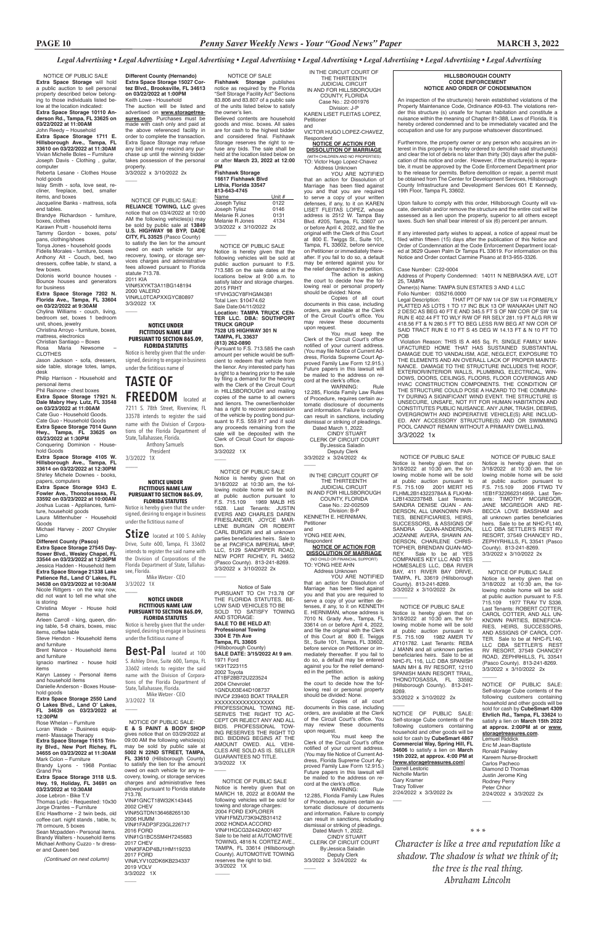### **HILLSBOROUGH COUNTY CODE ENFORCEMENT NOTICE AND ORDER OF CONDEMNATION**

An inspection of the structure(s) herein established violations of the Property Maintenance Code, Ordinance #09-63. The violations render this structure (s) unsafe for human habitation and constitute a nuisance within the meaning of Chapter 81-388, Laws of Florida. It is hereby ordered condemned and to be immediately vacated and the occupation and use for any purpose whatsoever discontinued.

Furthermore, the property owner or any person who acquires an interest in this property is hereby ordered to demolish said structure(s) and clear the lot of debris no later than thirty (30) days after the publication of this notice and order. However, if the structure(s) is reparable, it must be approved by the Code Enforcement Department prior to the release for permits. Before demolition or repair, a permit must be obtained from The Center for Development Services, Hillsborough County Infrastructure and Development Services 601 E Kennedy, 19th Floor, Tampa FL 33602.

Upon failure to comply with this order, Hillsborough County will vacate, demolish and/or remove the structure and the entire cost will be assessed as a lien upon the property, superior to all others except taxes. Such lien shall bear interest of six (6) percent per annum.

If any interested party wishes to appeal, a notice of appeal must be filed within fifteen (15) days after the publication of this Notice and Order of Condemnation at the Code Enforcement Department located at 3629 Queen Palm Dr Tampa FL 33619. For information on this Notice and Order contact Carmine Pisano at 813-955-3326.

3/3/2022 x 3/10/2022 2x  $\overline{\phantom{a}}$ 

Case Number: C22-0004

Address of Property Condemned: 14011 N NEBRASKA AVE, LOT 25, TAMPA

Owner(s) Name: TAMPA SUN ESTATES 3 AND 4 LLC

Folio Number: 035216.0000 Legal Description: THAT PT OF NW 1/4 OF SW 1/4 FORMERLY PLATTED AS LOTS 1 TO 17 INC BLK 13 OF WANAKAH UNIT NO 2 DESC AS BEG 40 FT E AND 345.5 FT S OF NW COR OF SW 1/4 RUN E 402.44 FT TO WLY R/W OF RR SELY 281.19 FT ALG RR W 418.56 FT & N 280.5 FT TO BEG LESS R/W BEG AT NW COR OF SAID TRACT RUN E 10 FT S 45 DEG W 14.13 FT & N 10 FT TO POB

 Violation Reason: THIS IS A 465 Sq. Ft. SINGLE FAMILY MAN-UFACTURED HOME THAT HAS SUSTAINED SUBSTANTIAL DAMAGE DUE TO VANDALISM, AGE, NEGLECT, EXPOSURE TO THE ELEMENTS AND AN OVERALL LACK OF PROPER MAINTE-NANCE. DAMAGE TO THE STRUCTURE INCLUDES THE ROOF, EXTERIOR/INTERIOR WALLS, PLUMBING, ELECTRICAL, WIN-DOWS, DOORS, CEILINGS, FLOORS, FLOOR COVERINGS AND HVAC CONSTRUCTION COMPONENTS. THE CONDITION OF THE STRUCTURE COULD POSE A HAZARD TO THE COMMUNI-TY DURING A SIGNIFICANT WIND EVENT. THE STRUCTURE IS UNSECURE, UNSAFE, NOT FIT FOR HUMAN HABITATION AND CONSTITUTES PUBLIC NUISANCE. ANY JUNK, TRASH, DEBRIS, OVERGROWTH AND INOPERATIVE VEHICLE(S) ARE INCLUD-ED. ANY ACCESSORY STRUCTURE(S) AND OR SWIMMING POOL CANNOT REMAIN WITHOUT A PRIMARY DWELLING.

 $\overline{\phantom{a}}$ 

 $\overline{\phantom{a}}$ 

papers, computers **Extra Space Storage 9343 E. Fowler Ave., Thonotosassa, FL 33592 on 03/23/2022 at 10:00AM** 

3/3/2022 1x

 $\overline{\phantom{a}}$ 

 $\overline{\phantom{a}}$ 

**Different County (Hernando) Extra Space Storage 15027 Cortez Blvd., Brooksville, FL 34613 on 03/22/2022 at 1:00PM**  Keith Lowe - Household The auction will be listed and advertised on **www.storagetrea-**

Rose Whelan – Furniture Loran Wade - Business equipment- Massage Therapy **Extra Space Storage 11615 Trinity Blvd., New Port Richey, FL 34655 on 03/23/2022 at 11:30AM** Mark Colon – Furniture Brandy Lyons - 1968 Pontiac Grand Prix **Extra Space Storage 3118 U.S.** 

**sures.com**. Purchases must be made with cash only and paid at the above referenced facility in order to complete the transaction. Extra Space Storage may refuse any bid and may rescind any purchase up until the winning bidder takes possession of the personal property.

 NOTICE OF PUBLIC SALE **Extra Space Storage** will hold a public auction to sell personal property described below belonging to those individuals listed below at the location indicated: **Extra Space Storage 10110 Anderson Rd., Tampa, FL 33625 on 03/22/2022 at 11:00AM**

John Reedy – Household **Extra Space Storage 1711 E.** 

**Hillsborough Ave., Tampa, FL 33610 on 03/22/2022 at 11:30AM** Vivian Michelle Boles – Furniture Joseph Davis - Clothing , guitar, computer

Reberta Lesane - Clothes House hold goods

Islay Smith - sofa, love seat, recliner, fireplace, bed, smaller items, and boxes

Jacqueline Banks - mattress, sofa end tables.

Brandye Richardson - furniture, boxes, clothes

Karawn Pruitt - household items Tammy Gordon - boxes, pots/

pans, clothing/shoes Tonya Jones - household goods

Fidelis Morales - furniture, boxes Anthony Alt - Couch, bed, two dressers, coffee table, tv stand, a few boxes.

Dolonis world bounce houses - Bounce houses and generators for business

**Extra Space Storage 7202 N. Florida Ave., Tampa, FL 33604** 

**on 03/22/2022 at 9:30AM** Chylina Williams - couch, living, bedroom set, boxes 1 bedroom

unit, shoes, jewelry Christina Arroyo - furniture, boxes,

mattress, electronics

Christian Santiago – Boxes Rosa Maria Newsome –

CLOTHES Jason Jackson - sofa, dressers,

side table, storage totes, lamps, desk

Philip Harrison - Household and

personal items Phil Rainone - chest boxes

**Extra Space Storage 17921 N. Dale Mabry Hwy. Lutz, FL 33548 on 03/23/2022 at 11:00AM**

Cate Guo - Household Goods. Cate Guo - Household Goods **Extra Space Storage 7014 Gunn** 

**Hwy., Tampa, FL 33625 on 03/23/2022 at 1:30PM**

Conquering Dominion - Household Goods

**Extra Space Storage 4105 W. Hillsborough Ave., Tampa, FL 33614 on 03/22/2022 at 12:30PM** Shirley Michele Downes - books,

Joshua Lucas - Appliances, furniture, household goods Laura Mittenhuber - Household

Goods Michael Harvey - 2007 Chrysler Limo

**Different County (Pasco)** 

**Extra Space Storage 27545 Dayflower Blvd., Wesley Chapel, FL 33544 on 03/23/2022 at 12:30PM**  Jessica Hadden - Household Item **Extra Space Storage 21338 Lake Patience Rd., Land O' Lakes, FL 34638 on 03/23/2022 at 10:30AM** 

Nicole Rittgers - on the way now, did not want to tell me what she is storing Christina Moyer - House hold

items

Arleen Carroll - king, queen, dining table, 5-8 chairs, boxes, misc items, coffee table

Steve Hendon - Household items and furniture Brent Nance - Household items

> 2019 VOLV 3/3/2022 1X  $\overline{\phantom{a}}$

and furniture Ignacio martinez - house hold items

Karyn Lassey - Personal items

and household items Danielle Anderson - Boxes Household goods

#### **Extra Space Storage 2550 Land O Lakes Blvd., Land O' Lakes, FL 34639 on 03/23/2022 at 12:30PM**

### **Hwy. 19, Holiday, FL 34691 on 03/23/2022 at 10:30AM**

Jose Lebron - Bike T.V Thomas Lydic - Requested: 10x30 Jorge Orantes – Furniture Eric Hawthorne - 2 twin beds, old coffee cart. night stands , table, tv, 7ft ormoure, 5 boxes Sean Mcpadden - Personal items. Brandy Walters - household items Michael Anthony Cuzzo - tv dresser and Queen bed

*(Continued on next column)* 

NOTICE OF PUBLIC SALE

Notice is hereby given that on 3/18/2022 at 10:30 am, the following mobile home will be sold at public auction pursuant to F.S. 715.109 2006 FTWD TV 1EB1F322662314959. Last Tenants: TIMOTHY MCGREGOR, JANE MCGREGOR AND RE-BECCA LOVE BASSHAM and all unknown parties beneficiaries heirs. Sale to be at NHC-FL140, LLC DBA SETTLER'S REST RV RESORT, 37549 CHANCEY RD., ZEPHYRHILLS, FL 33541 (Pasco County). 813-241-8269. 3/3/2022 x 3/10/2022 2x

 NOTICE OF PUBLIC SALE Notice is hereby given that on 3/18/2022 at 10:30 am, the following mobile home will be sold at public auction pursuant to F.S. 715.109 1977 TRAV TV S336. Last Tenants: ROBERT COTTER, CAROL COTTER, AND ALL UN-KNOWN PARTIES, BENEFICIA-RIES, HEIRS, SUCCESSORS, AND ASSIGNS OF CAROL COT-TER. Sale to be at NHC-FL140, LLC DBA SETTLER'S REST RV RESORT, 37549 CHANCEY ROAD, ZEPHRHILLS, FL 33541 (Pasco County). 813-241-8269. 3/3/2022 x 3/10/2022 2x

You must keep the Clerk of the Circuit Court's office notified of your current address. (You may file Notice of Current Address, Florida Supreme Court Ap-proved Family Law Form 12.915.) Future papers in this lawsuit will be mailed to the address on record at the clerk's office.<br>WARNING:

> NOTICE OF PUBLIC SALE Notice is hereby given that on 3/18/2022 at 10:30 am, the following mobile home will be sold at public auction pursuant to F.S. 715.109 2001 MERT HS FLHML2B143223784A & FLKHM-L2B143223784B. Last Tenants: SANDRA DENISE QUAN - AN-DERSON, ALL UNKNOWN PAR-TIES, BENEFICIARIES, HEIRS, SUCCESSORS, & ASSIGNS OF SANDRA QUAN-ANDERSON, JOZANNE AVERA, SHAWN AN-DERSON, CHARLENE CHRIS-TOPHER, BRENDAN QUAN-MO-REY. Sale to be at YES COMPANIES KEY LLC AND YES HOMESALES LLC, DBA RIVER BAY, 411 RIVER BAY DRIVE, TAMPA, FL 33619 (Hillsborough County). 813-241-8269. 3/3/2022 x 3/10/2022 2x

the court to decide how the following real or personal property should be divided: None.

You must keep the Clerk of the Circuit Court's office notified of your current address. (You may file Notice of Current Address, Florida Supreme Court Approved Family Law Form 12.915.) Future papers in this lawsuit will be mailed to the address on record at the clerk's office.<br>WARNING:

 NOTICE OF PUBLIC SALE Notice is hereby given that on 3/18/2022 at 10:30 am, the following mobile home will be sold at public auction pursuant to F.S. 715.109 1982 AMER TV AT101782. Last Tenants: REBA J MANN and all unknown parties beneficiaries heirs. Sale to be at NHC-FL 116, LLC DBA SPANISH MAIN MH & RV RESORT, 12110 SPANISH MAIN RESORT TRAIL,

WARNING: Rule 12.285, Florida Family Law Rules of Procedure, requires certain automatic disclosure of documents and information. Failure to comply can result in sanctions, including dismissal or striking of pleadings. Dated March 1, 2022. CINDY STUART CLERK OF CIRCUIT COURT By:Jessica Saladin Deputy Clerk 3/3/2022 x 3/24/2022 4x  $\overline{\phantom{a}}$ 

THONOTOSASSA, FL 33592 (Hillsborough County). 813-241- 8269. 3/3/2022 x 3/10/2022 2x

NOTICE OF PUBLIC SALE: Self-storage Cube contents of the following customers containing household and other goods will be sold for cash by **CubeSmart 4309 Ehrlich Rd., Tampa, FL 33624** to satisfy a lien on **March 15th 2022 at approx. 2:00PM at or www. storagetreasures.com**. Lemuel Riddick

Eric M Jean-Baptiste Ronald Paisley Kareem Nurse-Brockett Carlos Pacheco Diamond D Thomas Justin Jerome King Rodney Perry Peter Chhor 2/24/2022 x 3/3/2022 2x

NOTICE OF PUBLIC SALE: Self-storage Cube contents of the following customers containing household and other goods will be sold for cash by **CubeSmart 4867 Commercial Way, Spring Hill, FL 34606** to satisfy a lien on **March 15th 2022, at approx. 4:00 PM at [www.storagetreasures.com**] Darrell Lestoric Nicholle Martin

Gary Kramer Tracy Tolliver 2/24/2022 x 3/3/2022 2x \_\_\_

NOTICE OF PUBLIC SALE:

**RELIANCE TOWING, LLC** gives notice that on 03/4/2022 at 10:00 AM the following vehicles(s) may be sold by public sale at **13849 U.S. HIGHWAY 98 BYP, DADE CITY, FL 33525** (Pasco County) to satisfy the lien for the amount owed on each vehicle for any recovery, towing, or storage services charges and administrative fees allowed pursuant to Florida statute 713.78. 2011 KIA VIN#5XYKT3A11BG148194

2000 VALERO VIN#LL0TCAPXXGYC80897 3/3/2022 1X

 $\overline{\phantom{a}}$ 

*\* \* \**

 $\overline{\phantom{a}}$ 

*Character is like a tree and reputation like a shadow. The shadow is what we think of it; the tree is the real thing. Abraham Lincoln*

### **NOTICE UNDER FICTITIOUS NAME LAW PURSUANT TO SECTION 865.09,**

**FLORIDA STATUTES** Notice is hereby given that the undersigned, desiring to engage in business under the fictitious name of

# **TASTE OF FREEDOM** located at

7211 S. 78th Street, Riverview, FL 33578 intends to register the said name with the Division of Corporations of the Florida Department of State, Tallahassee, Florida. Anthony Samuels President

3/3/2022 1X

\_\_\_\_

#### **NOTICE UNDER FICTITIOUS NAME LAW PURSUANT TO SECTION 865.09,**

**FLORIDA STATUTES** Notice is hereby given that the undersigned, desiring to engage in business under the fictitious name of

**Stize** located at 100 S. Ashley Drive, Suite 600, Tampa, FL 33602 intends to register the said name with the Division of Corporations of the Florida Department of State, Tallahassee, Florida.

 Mike Wetzer - CEO 3/3/2022 1X

\_\_\_\_

### **NOTICE UNDER FICTITIOUS NAME LAW PURSUANT TO SECTION 865.09,**

**FLORIDA STATUTES** Notice is hereby given that the undersigned, desiring to engage in business under the fictitious name of

**Best-Pal** located at 100

S. Ashley Drive, Suite 600, Tampa, FL 33602 intends to register the said name with the Division of Corporaof the Florida Department of State, Tallahassee, Florida. Mike Wetzer - CEO 3/3/2022 1X

\_\_\_\_

VIN#3FADP4BJ1HM119233

2017 FORD

VIN#LYV102DK6KB234337

 NOTICE OF SALE **Fishhawk Storage** publishes notice as required by the Florida "Self Storage Facility Act" Sections 83.806 and 83.807 of a public sale of the units listed below to satisfy the owner's lien.

Believed contents are household goods and misc. boxes. All sales are for cash to the highest bidder and considered final. Fishhawk Storage reserves the right to refuse any bids. The sale shall be held at the location listed below on or after **March 23, 2022 at 12:00** 

| PМ                      |        |  |  |  |  |
|-------------------------|--------|--|--|--|--|
| <b>Fishhawk Storage</b> |        |  |  |  |  |
| 16617 Fishhawk Blvd     |        |  |  |  |  |
| Lithia. Florida 33547   |        |  |  |  |  |
| 813-643-4745            |        |  |  |  |  |
| Name                    | Unit # |  |  |  |  |
| Joseph Tylisz           | 0122   |  |  |  |  |
| Joseph Tylisz           | 0146   |  |  |  |  |
| Melanie R Jones         | 0131   |  |  |  |  |
| Melanie R Jones         | 4134   |  |  |  |  |
| 3/3/2022 x 3/10/2022 2x |        |  |  |  |  |
|                         |        |  |  |  |  |

 NOTICE OF PUBLIC SALE Notice is hereby given that the following vehicles will be sold at public auction pursuant to F.S. 713.585 on the sale dates at the locations below at 9:00 a.m. to satisfy labor and storage charges. 2015 FRHT 1FVHG3CY8FHGM4381 Total Lien: \$10474.62 Sale Date:04/11/2022 **Location: TAMPA TRUCK CEN-TER LLC. DBA: SOUTHPORT TRUCK GROUP 7528 US HIGHWAY 301 N TAMPA, FL 33637 (813) 262-0890**

Pursuant to F.S. 713.585 the cash amount per vehicle would be sufficient to redeem that vehicle from the lienor. Any interested party has a right to a hearing prior to the sale by filing a demand for the hearing with the Clerk of the Circuit Court in HILLSBOROUGH and mailing copies of the same to all owners and lienors. The owner/lienholder has a right to recover possession of the vehicle by posting bond pursuant to F.S. 559.917 and if sold any proceeds remaining from the sale will be deposited with the Clerk of Circuit Court for disposition.

3/3/2022 1X \_\_\_\_

 NOTICE OF PUBLIC SALE Notice is hereby given that on 3/18/2022 at 10:30 am, the following mobile home will be sold at public auction pursuant to F.S. 715.109 1969 MALB HS 1628. Last Tenants: JUSTIN EVERS AND CHARLES DAREN FRIESLANDER, JOYCE MAR-LENE BURGIN OR ROBERT CARL BURGIN and all unknown parties beneficiaries heirs. Sale to be at PACIFICA IMPERIAL MHP, LLC, 5129 SANDPIPER ROAD, NEW PORT RICHEY, FL 34652 (Pasco County). 813-241-8269. 3/3/2022 x 3/10/2022 2x

\_\_\_\_

IN THE CIRCUIT COURT OF THE THIRTEENTH JUDICIAL CIRCUIT IN AND FOR HILLSBOROUGH COUNTY, FLORIDA Case No.: 22-001976

Division: J-P KAREN LISET FLEITAS LOPEZ, Petitioner and

VICTOR HUGO LOPEZ-CHAVEZ, Respondent

**NOTICE OF ACTION FOR DISSOLUTION OF MARRIAGE** (WITH CHILDREN AND NO PROPERTIES) TO: Victor Hugo Lopez-Chavez

 Address Unknown YOU ARE NOTIFIED that an action for Dissolution of Marriage has been filed against you and that you are required to serve a copy of your written defenses, if any, to it on KAREN LISET FLEITAS LOPEZ, whose address is 2512 W. Tampa Bay Blvd. #205, Tampa, FL 33607 on or before April 4, 2022, and file the original with the Clerk of this Court at 800 E. Twiggs St., Suite 101, Tampa, FL 33602, before service on Petitioner or immediately thereafter. If you fail to do so, a default may be entered against you for the relief demanded in the petition. The action is asking

 NOTICE OF PUBLIC SALE: **E & S PAINT & BODY SHOP** gives notice that on 03/29/2022 at 09:00 AM the following vehicles(s) may be sold by public sale at **5002 N 22ND STREET, TAMPA, FL 33610** (Hillsborough County) to satisfy the lien for the amount owed on each vehicle for any recovery, towing, or storage services charges and administrative fees allowed pursuant to Florida statute 713.78. VIN#1GNCT18W32K143445 2002 CHEV VIN#5GTDN136468265130 2006 HUMM VIN#1FADP3F23GL226717 2016 FORD VIN#1G1BC5SM4H7245683 2017 CHEV \_\_\_\_ the court to decide how the following real or personal property should be divided: None.

Copies of all court documents in this case, including orders, are available at the Clerk of the Circuit Court's office. You may review these documents upon request.

WARNING: Rule 12.285, Florida Family Law Rules of Procedure, requires certain automatic disclosure of documents and information. Failure to comply can result in sanctions, including dismissal or striking of pleadings.

 Dated March 1, 2022. CINDY STUART CLERK OF CIRCUIT COURT By:Jessica Saladin Deputy Clerk 3/3/2022 x 3/24/2022 4x

 $\overline{\phantom{a}}$ 

IN THE CIRCUIT COURT OF THE THIRTEENTH JUDICIAL CIRCUIT IN AND FOR HILLSBOROUGH COUNTY, FLORIDA Case No.: 22-002509 Division: B-P KENNETH E. HERNIMAN, Petitioner and YONG HEE AHN, Respondent

# **NOTICE OF ACTION FOR DISSOLUTION OF MARRIAGE** (NO CHILD OR FINANCIAL SUPPORT) TO: YONG HEE AHN

 Address Unknown YOU ARE NOTIFIED that an action for Dissolution of Marriage has been filed against you and that you are required to serve a copy of your written defenses, if any, to it on KENNETH E. HERNIMAN, whose address is 7010 N. Grady Ave., Tampa, FL 33614 on or before April 4, 2022, and file the original with the Clerk of this Court at 800 E. Twiggs St., Suite 101, Tampa, FL 33602, before service on Petitioner or immediately thereafter. If you fail to do so, a default may be entered against you for the relief demanded in the petition.

The action

Copies of all court documents in this case, including orders, are available at the Clerk of the Circuit Court's office. You may review these documents upon request.

### Notice of Sale PURSUANT TO CH 713.78 OF THE FLORIDA STATUTES, BE-LOW SAID VEHICLES TO BE SOLD TO SATISFY TOWING AND STORAGE: **SALE TO BE HELD AT: Professional Towing 3304 E 7th Ave Tampa, FL 33605** (Hillsborough County) **SALE DATE: 3/15/2022 At 9 am**. 1971 Ford

1K91T223115 2002 Toyota

4T1BF28B72U223524 2004 Chevrolet 1GNDU03E44D108737 INVC# 239403 BOAT TRAILER XXXXXXXXXXXXXXXXX PROFESSIONAL TOWING RE-SERVES THE RIGHT TO AC-CEPT OR REJECT ANY AND ALL BIDS. PROFESSIONAL TOW-ING RESERVES THE RIGHT TO BID. BIDDING BEGINS AT THE AMOUNT OWED. ALL VEHI-CLES ARE SOLD AS IS. SELLER GUARANTEES NO TITLE. 3/3/2022 1X

 NOTICE OF PUBLIC SALE Notice is hereby given that on MARCH 18, 2022 at 8:00AM the following vehicles will be sold for towing and storage charges: 2004 FORD EXPLORER VIN#1FMZU73K94ZB31412 2002 HONDA ACCORD VIN#1HGCG32442A001497 Sale to be held at AUTOMOTIVE TOWING, 4816 N. CORTEZ AVE., TAMPA, FL 33614 (Hillsborough County). AUTOMOTIVE TOWING reserves the right to bid. 3/3/2022 1X

 $\overline{\phantom{a}}$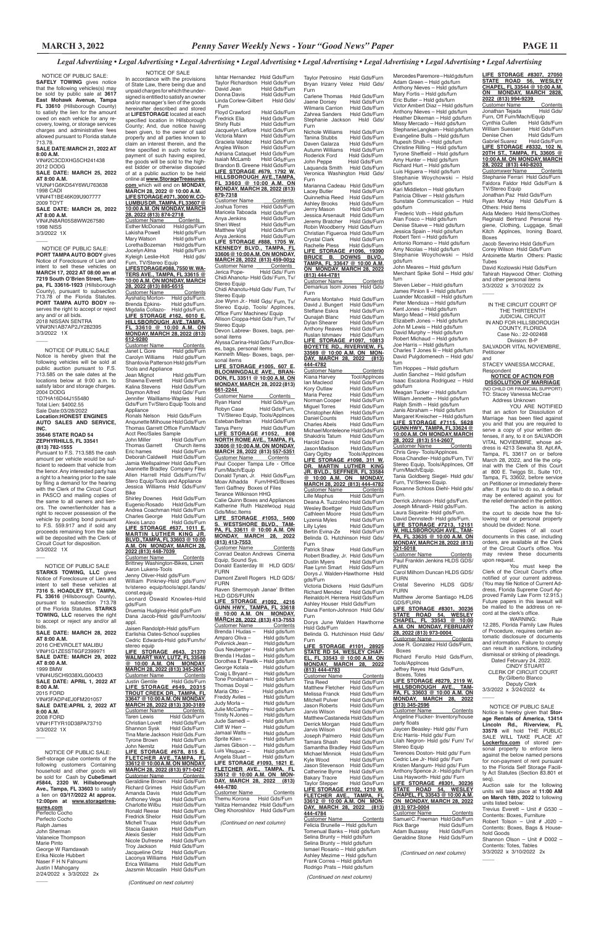Ishtar Hernandez Hsld Gds/Furn Taylor Richardson Hsld Gds/Furn Hsld Gds/Furn Donna Davis Hsld Gds/Furn Linda Corlew-Gilbert Hsld Gds/ Furn Floyd Crawford Hsld Gds/Furn Fredrick Elia Hsld Gds/Furn Shirly Rubi Hsld Gds/Furn Jacquelyn Leflore Hsld Gds/Furn<br>Victoria Mann Hsld Gds/Furn Hsld Gds/Furn Graciela Valdez Hsld Gds/Furn<br>Anglea Wilson Hsld Gds/Furn Anglea Wilson Adriana Cataquet Hsld Gds/Furn Isaiah McLamb Hsld Gds/Furn Brandon B. Greene Hsld Gds/Furn **LIFE STORAGE #679, 1792 W. HILLSBOROUGH AVE.,TAMPA, FL 33603 @ 10:00 A.M. ON MONDAY, MARCH 28, 2022 (813) 879-7318**

Customer Name Contents<br>Joshua Torres Hsld Gds/Furn Joshua Torres Maricela Taboada Hsld Gds/Furn Anya Jenkins Hsld Gds/Furn<br>Sheri West Hsld Gds/Furn Hsld Gds/Furn Matthew Vigil Hsld Gds/Furn<br>Anya Jenkins Hsld Gds/Furn Hsld Gds/Furn **LIFE STORAGE #888, 1705 W. KENNEDY BLVD., TAMPA, FL 33606 @ 10:00 A.M. ON MONDAY, MARCH 28, 2022 (813) 459-0032** Customer Name Contents Jerica Pope- Hsld Gds/ Furn Chidi Ahanotu- Hsld Gds/ Furn, Tv/ Stereo Equip

Chidi Ahanotu-Hsld Gds/ Furn, Tv/ Stereo Equip

Joe Wynn Jr.- Hsld Gds/ Furn, Tv/ Stereo Equip, Tools/ Applnces, Office Furn/ Machines/ Equip Allison Cioppa-Hsld Gds/ Furn, Tv/ Stereo Equip

Customer Name Contents Conrad Deaton Andrews Cinema Equip, Sound Sys. Donald Easterday III HLD GDS/

Devon Labrew- Boxes, bags, personal items

Alyssa Carina-Hsld Gds/ Furn,Boxes, bags, personal items Kenneth Miles- Boxes, bags, per-

sonal items

**LIFE STORAGE #1005, 607 E. BLOOMINGDALE AVE., BRAN-DON, FL 33511 @ 10:00 A.M. ON MONDAY, MARCH 28, 2022 (813) 661-2244**  Customer Name Contents

Ryan Hand Hsld Gds/Furn Robyn Case Hsld Gds/Furn, TV/Stereo Equip, Tools/Applnces Esteban Beltran Tanya Perry Hsld Gds/Furn **LIFE STORAGE #1052, 808 NORTH ROME AVE., TAMPA, FL 33606 @ 10:00 A.M. ON MONDAY, MARCH 28, 2022 (813) 557-5351**  Customer Name Contents Paul Cooper Tampa Life - Office Furn/Mach/Equip

Donald Tynan, Jr. Hsld Gds/Furn

Moav Alhadda Furn/HHG/Boxes Terri Gaffney Boxes of Files Terance Wilkinson HHG

Calie Quinn Boxes and Appliances Katherine Ruth Hazelwood Hsld Gds/Misc.Items

**LIFE STORAGE #1053, 5400 S. WESTSHORE BLVD., TAM-PA, FL 33611 @ 10:00 A.M. ON MONDAY, MARCH 28, 2022 (813) 413-7553** 

FURN Damont Zarell Rogers HLD GDS/

FURN Raven Shermoyah Janae' Britten

HLD GDS/FURN **LIFE STORAGE #1092, 4216 GUNN HWY., TAMPA, FL 33618 @ 10:00 A.M. ON MONDAY, MARCH 28, 2022 (813) 413-7553**  Customer Name Contents Brenda I Hudas – Hsld gds/furn<br>Amparo Oliva – Hsld gds/furn Amparo Oliva –<br>Polivnick Jean – Hsld gds/furn<br>Hsld gds/furn Gus Neuberger – Hsld gds/furn<br>Brenda I Hudas – Hsld gds/furn Brenda I Hudas –<br>Dorothea E Pawlik - Hsld gds/furn<br>Hsld gds/furn George Kotala – Hsld gds/furn<br>Craig L Bryant – Hsld gds/furn Craig L Bryant -

**WALMART WAY, LUTZ, FL 33548 @ 10:00 A.M. ON MONDAY, MARCH 28, 2022 (813) 345-2643** Customer Name<br>
Justin Gentile Hsld Gds/Furn Justin Gentile Hsld Gds/Furn **LIFE STORAGE #649, 20315 TROUT CREEK DR., TAMPA, FL 33647 @ 10:00 A.M. ON MONDAY, MARCH 28, 2022 (813) 330-3189** Customer Name<br>Taren Lewis Taren Contents<br>Taren Hsld Gds/Furn<br>Taren Hsld Gds/Furn Christian Lovett<br>Shannon Sysk Hsld Gds/Furn Tina Marie Jackson Hsld Gds.Furn Tyrone Brown<br>John Nemitz Hsld Gds/Furn **LIFE STORAGE #678, 815 E. FLETCHER AVE.,TAMPA, FL 33612 @ 10:00 A.M. ON MONDAY, MARCH 28, 2022 (813) 971-0427** Customer Name<br>Geraldiine Brown Hsld Gds/Furn Hsld Gds/Furn<br>Hsld Gds/Furn Richard Grimes<br>Amanda Davis Hsld Gds/Furn<br>Hsld Gds/Furn Anthoney Vega Hsld Gds/Furn Charlotte Wilbu Hsld Gds/Furn Ronald Reese Hsld Gds/Furn<br>Fredrick Shelor Hsld Gds/Furn Fredrick Shelor Hsld Gds/Furn<br>Michell Truax Hsld Gds/Furn Michell Truax Hsld Gds/Furn<br>Stacia Gaskin Hsld Gds/Furn Hsld Gds/Furn<br>Hsld Gds/Furn Alexis Sesler Hsld Gds/Furn<br>Nicole Dufresne Hsld Gds/Furn Nicole Dufresne<br>Trov Jackson Hsld Gds/Furn<br>Hsld Gds/Furn Jacqueline Ortiz Hsld Gds/Furn Laconya Williams Hsld Gds/Furn **Erica Williams** Hsld Gds/Furn<br>Jazsmin Mccaslin Hsld Gds/Furn Jazsmin Mccaslin

Tone Pondaharn – Hsld gds/furn Thomas Doyal – Hsld gds/furn Maria Otto – Hsld gds/furn<br>Freddy Aviles – Hsld gds/furn Hsld gds/furn Judy Morla – Hsld gds/furn<br>Julie McCarthy – Hsld gds/furn Julie McCarthy – Hsld gds/furn Trinity N Jones - Hsld gds/furn<br>Jude Samedi - Hsld gds/furn Jude Samedi –<br>Cliff W Herr – Hsld gds/furn<br>Hsld gds/furn Jamaal Watts -<br>Sprite Kilen – Sprite Kilen – Hsld gds/furn<br>James Gibson - Hsld gds/furn James Gibson - Hsld gds/furn<br>Luis Vasquez - Hsld gds/furn Luis Vasquez – Hsld gds/furn<br>Angela Stuart – Hsld gds/furn Hsld gds/furn **LIFE STORAGE #1093, 1821 E. FLETCHER AVE., TAMPA, FL 33612 @ 10:00 A.M. ON MON-DAY, MARCH 28, 2022 (813) 444-4780**  Customer Name Contents Themu Korona Hsld Gds/Furn Yalitza Hernandez Hsld Gds/Furn

Oleg Khoroshilov Hsld Gds/Furn

 *(Continued on next column)*

 NOTICE OF SALE In accordance with the provisions of State Law, there being due and unpaid charges for which the undersigned is entitled to satisfy an owner and/or manager's lien of the goods hereinafter described and stored at **LIFESTORAGE** located at each specified location in Hillsborough County; And, due notice having been given, to the owner of said property and all parties known to claim an interest therein, and the time specified in such notice for payment of such having expired, the goods will be sold to the highest bidder or otherwise disposed of at a public auction to be held online at **www.StorageTreasures. com** which will end on **MONDAY, MARCH 28, 2022 @ 10:00 A.M. LIFE STORAGE #071, 3000 W. CO-LUMBUS DR.,TAMPA, FL 33607 @ 10:00 A.M. ON MONDAY, MARCH 28, 2022 (813) 874-2718**  Customer Name Contents<br>Esther McDonald Hsld gds/Furn Esther McDonald<br>Lakisha Powell Hsld gds/Furn Mary Watson Hsld gds/Furn<br>Loretha Bozeman Hsld gds/Furn Loretha Bozeman<br>Jocelyn Alma Hsld gds/Furn Kyleigh Leslie-Holt Hsld gds/ Furn, TV/Stereo Equip **LIFESTORAGE#088, 7550 W. WA-TERS AVE., TAMPA, FL 33615 @ 10:00 A.M. ON MONDAY, MARCH 28, 2022 (813) 885-6515** Customer Name Ayshatiq Morton-<br>Brenda Epkins- Hsld gds/Furn. Brenda Epkins-Migdalia Collazo- Hsld gds/Furn. **LIFE STORAGE #162, 6010 E. HILLSBOROUGH AVE.,TAMPA, FL 33610 @ 10:00 A.M. ON MONDAY, MARCH 28, 2022 (813) 612-9280** Customer Name<br>
Janet L Gore Hsld gds/Furn Janet L Gore<br>Carolyn Williams Hsld gds/Furn Shantovia Patterson Hsld gds/Furn Tools and Appliance<br>Jean Mignot Hsld gds/Furn<br>Hsld Gds/Furn Shawna Everett Hsld Gds/Furn<br>Kalina Stevens Hsld Gds/Furn Kalina Stevens<br>Daymon Alfred Hsld Gds/ Furn Jennifer Wailliams-Waples Hsld Gds/Furn Tv/Stero Equip Tools and Appliance Ronals Nelson Hsld Gds/Furn Anqunette Milhouse Hsld Gds/Furn Thomas Garrett Office Furn/Mach/ Acct Rec/Sales Sample<br>John Miller Hslc Hsld Gds/Furn<br>Church items Thomas Garrett Eric hames Hsld Gds/Furn Deborah Caldwell Hsld Gds/Furn Jamia Wellspalmer Hsld Gds/Furn Jeannette Bradley Company Files Allen Harrell Hsld Gds/Furn/Tv/ Stero Equip/Tools and Appliance Jessica Williams Hsld Gds/Furn/ Bike Shirley Downes Hsld Gds/Furn Eugenio Rosado Hsld Gds/Furn Andrea Coachman Hsld Gds/Furn Charles George Hsld Gds/Furn<br>Alexis Lanzo Hsld Gds/Furn Alexis Lanzo Hsld Gds/Furn **LIFE STORAGE #637, 1011 E. MARTIN LUTHER KING JR. BLVD.,TAMPA, FL 33603 @ 10:00 A.M. ON MONDAY, MARCH 28, 2022 (813) 448-7039**  Customer Name Contents Brittney Washington-Bikes, Linen Aaron Lukens-Tools Jenny Oliver-Hsld gds/Furn William Pinkney-Hsld gds/Furn/ tv/stereo equip/tools/appl./lands/ const.equip Leonard Oswald Knowles-Hsld gds/Furn Druemia Hudgins-Hsld gds/Furn Dana Jacob-Hsld gds/Furn/tools/ appl. Jaisen Randolph-Hsld gds/Furn

Customer Name Contents Chris Grey- Tools/Applnces. Rosa Chandler- Hsld gds/Furn, TV/ Stereo Equip, Tools/Applnces, Off Furn/Mach/Equip.

Carol Milhorn Duncan HLDS GDS/ FURN<br>Cristal

Severino HLDS GDS/ FURN

**LIFE STORAGE #8301, 30236 STATE ROAD 54, WESLEY CHAPEL, FL 33543 @ 10:00 A.M. ON MONDAY, FEBRUARY 28, 2022 (813) 973-0004**  Customer Name Contents

**LIFE STORAGE #8279, 2119 W. HILLSBOROUGH AVE., TAM-PA, FL 33603 @ 10:00 A.M. ON MONDAY, MARCH 28, 2022 (813) 345-2596** Deputy Clerk 3/3/2022 x 3/24/2022 4x  $\overline{\phantom{a}}$ 

Taylor Petrosino Hsld Gds/Furn Bryan Irizarry Velez Hsld Gds/ Furn Carlene Thomas Hsld Gds/Furn<br>Jaene Dorsey Hsld Gds/Furn

Hsld Gds/Furn<br>Hsld Gds/Furn Wilmaris Carrion Hsld Gds/Furn<br>Zahrea Sanders Hsld Gds/Furn Zahrea Sanders Stephanie Jackson Hsld Gds/ Furn

Nichole Williams Hsld Gds/Furn<br>Tanina Stubbs Hsld Gds/Furn Tanina Stubbs Hsld Gds/Furn<br>Daven Galarza Hsld Gds/Furn Daven Galarza Hsld Gds/Furn<br>Autumn Williams Hsld Gds/Furn Autumn Williams<br>Roderick Ford Roderick Ford Hsld Gds/Furn<br>John Peppe Hsld Gds/Furn Hsld Gds/Furn<br>Hsld Gds/Furn Laquanda Smith Veronica Washington Hsld Gds/ Furn

war.<br>Marianna Cadeau Hsld Gds/Furn<br>Lacey Butler Hsld Gds/Furn Lacey Butler Hsld Gds/Furn<br>Quinnethia Reed Hsld Gds/Furn Quinnethia Reed<br>Ashley Brooks Ashley Brooks Hsld Gds/Furn<br>Jerrry Mason Hsld Gds/Furn Hsld Gds/Furn<br>Hsld Gds/Furn Jessica Arsenault Hsld Gds/Furn Jeremy Bratcher Robin Woodberry Hsld Gds/Furn Christian Figueroa Hsld Gds/Furn Crystal Clark<br>Rachelle Pless Hsld Gds/Furn **LIFE STORAGE #1096, 19390 BRUCE B. DOWNS BLVD., TAMPA, FL 33647 @ 10:00 A.M. ON MONDAY, MARCH 28, 2022 (813) 444-4781** Customer Name Contents

Earlishia Oates-School supplies Cedric Edwards-Hsld gds/Furn/tv/ stereo equip **LIFE STORAGE #643, 21370** 

Amaris Montalvo Hsld Gds/Furn<br>David J. Bungert Hsld Gds/Furn David J. Bungert<br>Steffane Eskra Steffane Eskra<br>Steffane Eskra Hsld Gds/Furn<br>Qunajah Blanc Hsld Gds/Furn Qunajah Blanc Hsld Gds/Furn<br>Dylan Shearer Hsld Gds/Furn Hsld Gds/Furn<br>Hsld Gds/Furn Anthony Reaves Hsld Gds/Furn<br>Ruslan Ishmaev Hsld Gds/Furn Ruslan Ishmaev Hsld Gds/Furn **LIFE STORAGE #1097, 10813 BOYETTE RD., RIVERVIEW, FL 33569 @ 10:00 A.M. ON MON-DAY, MARCH 28, 2022 (813) 444-4782**

Customer Name Contents<br>Kiana Harvey Tool/Applnces Kiana Harvey Tool/Applnces<br>Ian Macleod Hsld Gds/Furn **Ian Macleod** Hsld Gds/Furn<br>Kory Outlaw Hsld Gds/Furn Kory Outlaw Hsld Gds/Furn Hsld Gds/Furn<br>Hsld Gds/Furn Norman Cooper<br>Miquel Torres Hsld Gds/Furn<br>Hsld Gds/Furn Christopher Allen<br>Daniel Counts Daniel Counts<br>
Charles Abels
Hsld Gds/Furn Hsld Gds/Furn Michael Monteleone Hsld Gds/Furn<br>Shakidris Tatum Hsld Gds/Furn Shakidris Tatum<br>Harold Davis Hsld Gds/Furn<br>Hsld Gds/Furn Jason Madison<br>Gary Ogilby Tools/Applnces **LIFE STORAGE #1098, 311 W. DR. MARTIN LUTHER KING JR. BVLD., SEFFNER, FL 33584 @ 10:00 A.M. ON MONDAY, MARCH 28, 2022 (813) 444-4782**<br>Customer Name Contents Lille Maphus Hsld Gds/Furn Deana A. Tuzzolino Hsld Gds/Furn Wesley Boettger Hsld Gds/Furn<br>Cathleen Moore Hsld Gds/Furn Cathleen Moore Hsld Gds/Furn<br>Lyzenia Myles Hsld Gds/Furn Lyzenia Myles<br>Lilly Lyles Hsld Gds/Furn<br>Hsld Gds/Furn Bertin Evina-Ze Belinda G. Hutchinson Hsld Gds/ Furn<br>Patrick Shaw

Hsld Gds/Furn Robert Bradley, Jr. Hsld Gds/Furn<br>Dustin Myers Hsld Gds/Furn Hsld Gds/Furn<br>Hsld Gds/Furn Rae Lynn Smart Dorys J. Walden-Hawthorne Hsld gds/Furn

*(Continued on next column)*

Adam Buzassy Hsld Gds/Furn<br>Geraldine Stone Hsld Gds/Furn Geraldine Stone

Customer Name Contents Samuel C. Freeman Hsld Gds/Furn<br>Rick Barge Hsld Gds/Furn

Hsld Gds/Furn<br>Hsld Gds/Furn

**LIFE STORAGE #8307, 27050 STATE ROAD 56, WESLEY CHAPEL, FL 33544 @ 10:00 A.M.** 

**ON MONDAY, MARCH 2828,** 

**2022 (813) 994-9239**  Customer Name Contents<br>Jonathan Tejada Hsld Gds/ Jonathan Tejada Furn, Off Furn/Mach/Equip<br>Cynthia Cullen Hsld Gds/Furn Cynthia Cullen Hsld Gds/Furn<br>William Suesser Hsld Gds/Furn William Suesser Hsld Gds/Furn<br>Denise Chen Hsld Gds/Furn Denise Chen Gabriel Suarez Hsld Gds/Furn **LIFE STORAGE #8332, 102 N.** 

Hsld Gds/Furn<br>Hsld Gds/Furn Matthew Fletcher Hsld Gds/Furn<br>Melissa Franck Hsld Gds/Furn Melissa Franck<br>Mitchell Pulver Mitchell Pulver Hsld Gds/Furn<br>Jason Roberts Hsld Gds/Furn Jason Roberts Hsld Gds/Furn Hsld Gds/Furn Matthew Castaneda Hsld Gds/Furn<br>Derrick Morgan Hsld Gds/Furn Derrick Morgan<br>Jarvis Wilson Hsld Gds/Furn<br>Hsld Gds/Furn Joseph Palmero<br>Tamara Shash Hsld Gds/Furn<br>Hsld Gds/Furn Samantha Bradley Hsld Gds/Furn<br>Michael Minniok Hsld Gds/Furn Michael Minniok<br>Kyle Wood Hsld Gds/Furn<br>Hsld Gds/Furn Jason Stevenson Hsld Gds/Furn<br>Catherine Bvrne Hsld Gds/Furn Catherine Byrne<br>Bakary Traore **Bakary Traore Hsld Gds/Furn<br>Tavlor Stepper Hsld Gds/Furn** Hsld Gds/Furn **LIFE STORAGE #1102, 1210 W. FLETCHER AVE., TAMPA, FL 33612 @ 10:00 A.M. ON MON-DAY, MARCH 28, 2022 (813) 444-4784** Customer Name Contents Felicia Brunelle – Hsld gds/furn Tomenual Banks – Hsld gds/furn Selina Brunty – Hsld gds/furn Selina Brunty – Hsld gds/furn Ismael Rosario – Hsld gds/furn Ashley Mezime – Hsld gds/furn Frank Correa – Hsld gds/furn Rodrigo Prats – Hsld gds/furn

**20TH ST., TAMPA, FL 33605 @ 10:00 A.M. ON MONDAY, MARCH 28, 2022 (813) 440-8203**  Customxwer Name Contents Stephanie Ferrari Hsld Gds/Furn

Faldora Faldor Hsld Gds/Furn & TV/Stereo Equip Jonathan Paz Hsld Gds/Furn

 NOTICE OF PUBLIC SALE: **PORT TAMPA AUTO BODY** gives Notice of Foreclosure of Lien and intent to sell these vehicles on **MARCH 17, 2022 AT 08:00 am at 7219 South O'Brien Street, Tampa, FL 33616-1923** (Hillsborough County), pursuant to subsection 713.78 of the Florida Statutes. **PORT TAMPA AUTO BODY** reserves the right to accept or reject any and/ or all bids. 2018 NISSAN SENTRA VIN#3N1AB7AP2JY282395 3/3/2022 1X  $\overline{\phantom{a}}$ 

Ryan McKay Hsld Gds/Furn & Others: Hsld Items Aida Medero Hsld Items/Clothes

Reginald Bertrand Personal Hygiene, Clothing, Luggage, Small Kitch Applnces, Ironing Board, Boxes

Jacob Severino Hsld Gds/Furn Corey Wilson Hsld Gds/Furn Antoinette Martin Others: Plastic Tubes

David Kozlowski Hsld Gds/Furn Tahirah Haywood Other: Clothing and other personal items 3/3/2022 x 3/10/2022 2x

 $\overline{\phantom{a}}$ 

Mercedes Paremore – Hsld gds/furn Adam Green – Hsld gds/furn Anthony Nieves – Hsld gds/furn Mary Fortis – Hsld gds/furn Eric Butler – Hsld gds/furn Victor Ambert Diaz – Hsld gds/furn Anthony Nieves – Hsld gds/furn Heather Dikeman – Hsld gds/furn Missy Mercado – Hsld gds/furn Stephanie Langkam – Hsld gds/furn Evangeline Bulls – Hsld gds/furn Rupesh Shah – Hsld gds/furn Christine Rilling – Hsld gds/furn Tyrone Sheffield – Hsld gds/furn Amy Hunter – Hsld gds/furn Richard Hurt – Hsld gds/furn Luis Higuera – Hsld gds/furn Stephanie Woychowski – Hsld gds/furn Kari Middleton – Hsld gds/furn Patricia Olliver – Hsld gds/furn

Sunstate Communication – Hsld gds/furn Frederic Voth – Hsld gds/furn Alan Fosco – Hsld gds/furn Denise Stueve – Hsld gds/furn Jessica Spain – Hsld gds/furn Robert Terri – Hsld gds/furn Antonio Romano – Hsld gds/furn Amy Nicolas – Hsld gds/furn Stephanie Woychowski – Hsld gds/furn

> YOU ARE NOTIFIED that an action for Dissolution of Marriage has been filed against you and that you are required to serve a copy of your written defenses, if any, to it on SALVADOR VITAL NOVIEMBRE, whose address is 4213 Sewaha St. Apt.#A, Tampa, FL 33617 on or before March 28, 2022, and file the original with the Clerk of this Court at 800 E. Twiggs St., Suite 101, Tampa, FL 33602, before service on Petitioner or immediately thereafter. If you fail to do so, a default may be entered against you for the relief demanded in the petition.

John Meares – Hsld gds/furn Merchant Spike Sohil - Hsld gds/ furn

> WARNING: Rule 12.285, Florida Family Law Rules of Procedure, requires certain automatic disclosure of documents and information. Failure to comply can result in sanctions, including dismissal or striking of pleadings.

Steven Lieber – Hsld gds/furn James Pinion Ii – Hsld gds/furn Luander Mccaskill – Hsld gds/furn Peter Mendoza – Hsld gds/furn Kent Jones – Hsld gds/furn Margo Mead - Hsld gds/furn Elizabeth Jones – Hsld gds/furn John M Lewis – Hsld gds/furn David Murphy – Hsld gds/furn Robert Michaud – Hsld gds/furn Joe Harris – Hsld gds/furn Charles T Jones Iii – Hsld gds/furn David Pulgdomenech – Hsld gds/ furn

Tim Hoppes – Hsld gds/furn Justin Sanchez – Hsld gds/furn Isaac Escalona Rodriguez – Hsld gds/furn

Meagan Tucker – Hsld gds/furn William Jennette – Hsld gds/furn Ralph Smith – Hsld gds/furn Janis Abraham – Hsld gds/furn

Margaret Kreischer – Hsld gds/furn **LIFE STORAGE #7115, 5628 GUNN HWY., TAMPA, FL 33624 @ 10:00 A.M. ON MONDAY, MARCH 28, 2022 (813) 514-2607** 

**SALE DATE: APRIL 1, 2022 AT 8:00 A.M.** 2015 FORD VIN#3FADP4EJ0FM201057 **SALE DATE:APRIL 2, 2022 AT 8:00 A.M.** 2008 FORD VIN#1FTYR10D38PA73710 3/3/2022 1X  $\overline{\phantom{a}}$ 

Tania Goldberg Siegel- Hsld gds/ Furn, TV/Stereo Equip. Roxanne Schloss Diehl- Hsld gds/

Furn. Derrick Johnson- Hsld gds/Furn. Joseph Minardi- Hsld gds/Furn.

Laura Siqueira- Hsld gds/Furn. David Dennstedt- Hsld gds/Furn. **LIFE STORAGE #7213, 12151 W. HILLSBOROUGH AVE., TAM-PA, FL 33635 @ 10:00 A.M. ON MONDAY, MARCH 28, 2022 (813)** 

**321-5018**  Customer Name Contents Paul Franklin Jenkins HLDS GDS/ FURN

Matthew Jerome Santiago HLDS GDS/FURN

Jose R. Gonzalez Hsld Gds/Furn, Boxes

Richard Ferullo Hsld Gds/Furn, Tools/Applnces Jeffrey Reyes Hsld Gds/Furn,

Boxes, Totes

Customer Name Contents Angeline Flucker- Inventory/house

party floats

Jaycen Beasley- Hsld gds/ Furn Eric Harris- Hsld gds/ Furn Lilah Negron- Hsld gds/ Furn/ Tv/

Stereo Equip

Terences Doston- Hsld gds/ Furn Cedric Lee Jr- Hsld gds/ Furn Kristen Mangum- Hsld gds/ Furn Anthony Spence Jr.- Hsld gds/ Furn Lisa Hayworth- Hsld gds/ Furn **LIFE STORAGE #8301, 30236 STATE ROAD 54, WESLEY CHAPEL, FL 33543 @ 10:00 A.M. ON MONDAY, MARCH 28, 2022**

**(813) 973-0004**

*(Continued on next column)*

Demarkus Isom Jones Hsld Gds/ Furn

Victoria Dickens Hsld Gds/Furn Richard Mendez Reinaldo H. Herrera Hsld Gds/Furn Ashley Houser Hsld Gds/Furn Diana Fenton-Johnson Hsld Gds/ Furn

Dorys June Walden Hawthorne Hsld Gds/Furn Belinda G. Hutchinson Hsld Gds/

Furn **LIFE STORAGE #1101, 28925 STATE RD 54, WESLEY CHAP-**

**EL, FL 33543 @ 10:00 A.M. ON MONDAY, MARCH 28, 2022 (813) 444-4783**

Customer Name Contents<br>Tina Reed Hsld Gds/Furn

*(Continued on next column)*

 NOTICE OF PUBLIC SALE: **SAFELY TOWING** gives notice that the following vehicles(s) may be sold by public sale at **3617 East Mohawk Avenue, Tampa FL 33610** (Hillsborough County) to satisfy the lien for the amount owed on each vehicle for any recovery, towing, or storage services charges and administrative fees allowed pursuant to Florida statute 713.78. **SALE DATE:MARCH 21, 2022 AT 8:00 A.M.** VIN#2C3CDXHG5CH241438 2012 DODG **SALE DATE: MARCH 25, 2022** 

**AT 8:00 A.M.** VIUN#1G6KD54Y6WU763638 1998 CADI VIN#4T1BE46K09U907777 2009 TOYT **SALE DATE: MARCH 26, 2022 AT 8:00 A.M.** VIN#JN8AR05S8WW267580 1998 NISS 3/3/2022 1X

 $\overline{\phantom{a}}$ 

 NOTICE OF PUBLIC SALE Notice is hereby given that the following vehicles will be sold at public auction pursuant to F.S. 713.585 on the sale dates at the locations below at 9:00 a.m. to satisfy labor and storage charges. 2004 DODG 1D7HA16D44J155480

Total Lien: \$4002.55 Sale Date:03/28/2022

**Location:HONEST ENGINES AUTO SALES AND SERVICE, INC.**

### **35646 STATE ROAD 54 ZEPHYRHILLS, FL 33541 (813) 782-1555**

Pursuant to F.S. 713.585 the cash amount per vehicle would be sufficient to redeem that vehicle from the lienor. Any interested party has a right to a hearing prior to the sale by filing a demand for the hearing with the Clerk of the Circuit Court in PASCO and mailing copies of the same to all owners and lienors. The owner/lienholder has a right to recover possession of the vehicle by posting bond pursuant to F.S. 559.917 and if sold any proceeds remaining from the sale will be deposited with the Clerk of Circuit Court for disposition. 3/3/2022 1X

IN THE CIRCUIT COURT OF THE THIRTEENTH JUDICIAL CIRCUIT

IN AND FOR HILLSBOROUGH COUNTY, FLORIDA Case No.: 22-002468

Division: B-P

SALVADOR VITAL NOVIEMBRE, Petitioner

and

STACEY VANESSA MCCRAE, Respondent **NOTICE OF ACTION FOR**

**DISSOLUTION OF MARRIAGE** (NO CHILD OR FINANCIAL SUPPORT)

TO: Stacey Vanessa McCrae Address Unknown

The action is asking the court to decide how the following real or personal property should be divided: None.

Copies of all court documents in this case, including orders, are available at the Clerk of the Circuit Court's office. You may review these documents upon request.

You must keep the Clerk of the Circuit Court's office notified of your current address. (You may file Notice of Current Address, Florida Supreme Court Approved Family Law Form 12.915.) Future papers in this lawsuit will be mailed to the address on record at the clerk's office.

 Dated February 24, 2022. CINDY STUART CLERK OF CIRCUIT COURT

By:Gilberto Blanco

 NOTICE OF PUBLIC SALE Notice is hereby given that **Storage Rentals of America, 13414 Lincoln Rd., Riverview, FL 33578** will hold THE PUBLIC SALE WILL TAKE PLACE AT **Lockerfox.com** of stored personal property to enforce liens against the below named persons for non-payment of rent pursuant to the Florida Self Storage Facility Act Statutes (Section 83.801 et seq).

Auction sale for the following units will take place at **11:00 AM on March 18th, 2022** to following units listed below: Trevius Everett – Unit # G530 – Contents: Boxes, Furniture

Robert Tolson – Unit # J020 – Contents: Boxes, Bags & Household Goods Shannon Olson - Unit # D002 -Contents: Totes, Tables

3/3/2022 x 3/10/2022 2x

 $\overline{\phantom{a}}$ 

 NOTICE OF PUBLIC SALE **STARKS TOWING, LLC** gives Notice of Foreclosure of Lien and intent to sell these vehicles at **7316 S. HOADLEY ST., TAMPA, FL 33616** (Hillsborough County), pursuant to subsection 713.78 of the Florida Statutes. **STARKS TOWING, LLC** reserves the right to accept or reject any and/or all bids.

 $\overline{\phantom{a}}$ 

**SALE DATE: MARCH 28, 2022 AT 8:00 A.M.**

2016 CHEVROLET MALIBU VIN#1G1ZE5ST6GF2399971 **SALE DATE: MARCH 29, 2022** 

**AT 8:00 A.M.** 1999 BMW VIN#4USCH9338XLG00433

 NOTICE OF PUBLIC SALE: Self-storage cube contents of the following customers Containing household and other goods will be sold for Cash by **CubeSmart #5844, 2320 W. Hillsborough Ave., Tampa, FL 33603** to satisfy a lien on **03/17/2022 At approx. 12:00pm at www.storagetrea-**

#### **sures.com**

 $\overline{\phantom{a}}$ 

Perfecto Cocho Perfecto Cocho Ralph James John Sherman Valaneice Thompson Marie Pinto George W Ramdawah Erika Nicole Hubbert Naser F H N Falroumi Justin I Mahogany 2/24/2022 x 3/3/2022 2x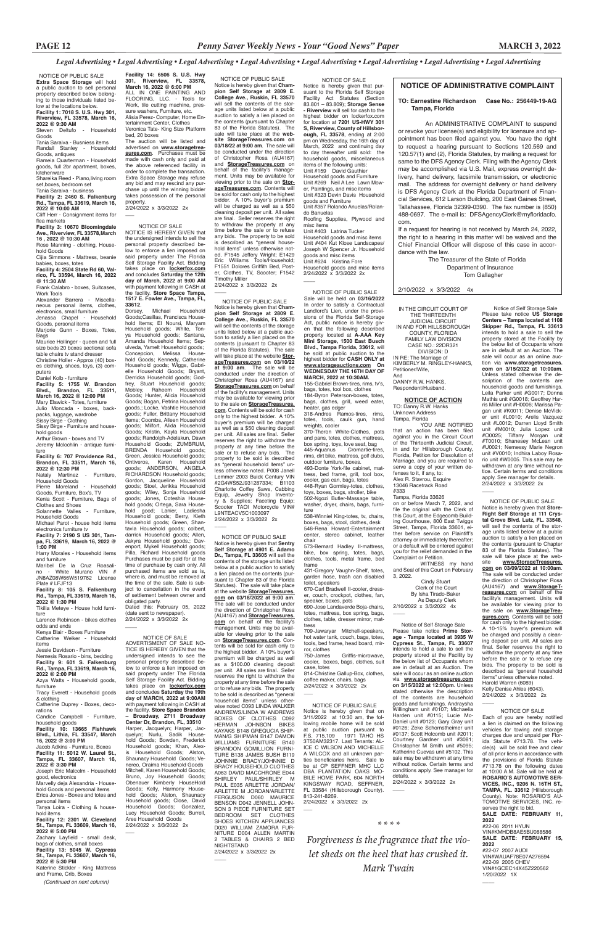IN THE CIRCUIT COURT OF THE THIRTEENTH JUDICIAL CIRCUIT IN AND FOR HILLSBOROUGH COUNTY, FLORIDA FAMILY LAW DIVISION  $CASE NO.22DR321$ 

### *Legal Advertising • Legal Advertising • Legal Advertising • Legal Advertising • Legal Advertising • Legal Advertising • Legal Advertising • Legal Advertising*

Tampa, Florida YOU ARE NOTIFIED

DIVISION: D IN RE: The Marriage of KIMBERLY M. RINGLEY-HANKS, Petitioner/Wife, And

DANNY R.W. HANKS, Respondent/Husband.

### **NOTICE OF ACTION** TO: Danny R.W. Hanks Unknown Address

 Cindy Stuart Clerk of the Court By Isha Tirado-Baker As Deputy Clerk 2/10/2022 x 3/3/2022 4x  $\overline{\phantom{a}}$ 

that an action has been filed against you in the Circuit Court of the Thirteenth Judicial Circuit, in and for Hillsborough County, Florida, Petition for Dissolution of Marriage, and you are required to serve a copy of your written defenses to it, if any, to: Alex R. Stavrou, Esquire 13046 Racetrack Road #333

Tampa, Florida 33626

on or before March 7, 2022, and file the original with the Clerk of this Court, at the Edgecomb Building Courthouse, 800 East Twiggs Street, Tampa, Florida 33601, either before service on Plaintiff's attorney or immediately thereafter; or a default will be entered against you for the relief demanded in the Complaint or Petition.

WITNESS my hand and Seal of this Court on February 3, 2022.

## **NOTICE OF ADMINISTRATIVE COMPLAINT**

### **TO: Earnestine Richardson Case No.: 256449-19-AG Tampa, Florida**

 Notice of Self Storage Sale Please take notice **US Storage Centers – Tampa located at 1108 Skipper Rd., Tampa, FL 33613** intends to hold a sale to sell the property stored at the Facility by the below list of Occupants whom are in default at an Auction. The sale will occur as an online auction via **www.storagetreasures. com on 3/15/2022 at 10:00am**. Unless stated otherwise the description of the contents are household goods and furnishings. Leila Parker unit #G0017; Donna Mathis unit #G0018; Geoffrey Harris Miller unit #H0006; Marissa Pagan unit #K0011; Denise McVicker unit #L0010; Arelis Vazquez unit #L0012; Darren Lloyd Smith unit #M0010; Julia Lopez unit #O0025; Tiffany Morgan unit #T0010; Shanesey McLean unit #U0021; Nemessy Marie Negron unit #V0010; Indhira Laboy Rosario unit #W0005. This sale may be withdrawn at any time without notice. Certain terms and conditions apply. See manager for details. 2/24/2022 x 3/3/2022 2x  $\overline{\phantom{a}}$ 

An ADMINISTRATIVE COMPLAINT to suspend or revoke your license(s) and eligibility for licensure and appointment has been filed against you. You have the right to request a hearing pursuant to Sections 120.569 and 120.57(1) and (2), Florida Statutes, by mailing a request for same to the DFS Agency Clerk. Filing with the Agency Clerk may be accomplished via U.S. Mail, express overnight delivery, hand delivery, facsimile transmission, or electronic mail. The address for overnight delivery or hand delivery is DFS Agency Clerk at the Florida Department of Financial Services, 612 Larson Building, 200 East Gaines Street, Tallahassee, Florida 32399-0390. The fax number is (850) 488-0697. The e-mail is: DFSAgencyClerk@myfloridacfo. com.

> NOTICE OF PUBLIC SALE Notice is hereby given that **Store-Right Self Storage at 111 Crystal Grove Blvd. Lutz, FL. 33548**, will sell the contents of the storage units listed below at a public auction to satisfy a lien placed on the contents (pursuant to Chapter 83 of the Florida Statutes). The sale will take place at the web-<br>site **www.StorageTreasures** site **www.StorageTreasures. com on 03/09/2022 at 10:00am**. The sale will be conducted under the direction of Christopher Rosa (AU4167) and **www.StorageTreasures.com** on behalf of the facility's management. Units will be available for viewing prior to the sale on **www.StorageTreasures.com**. Contents will be sold for cash only to the highest bidder. A 10-15% buyer's premium will be charged and possibly a cleaning deposit per unit. All sales are final. Seller reserves the right to

If a request for hearing is not received by March 24, 2022, the right to a hearing in this matter will be waived and the Chief Financial Officer will dispose of this case in accordance with the law.

> The Treasurer of the State of Florida Department of Insurance Tom Gallagher

### 2/10/2022 x 3/3/2022 4x

 Notice of Self Storage Sale Please take notice **Prime Storage - Tampa located at 3935 W Cypress St., Tampa, FL 33607**  intends to hold a sale to sell the property stored at the Facility by the below list of Occupants whom are in default at an Auction. The sale will occur as an online auction via **www.storagetreasures.com on 3/15/2022 at 12:00pm**. Unless stated otherwise the description of the contents are household goods and furnishings. Andraysha Willingham unit #0107; Michaelia Harden unit #0115; Lucie Mc-Daniel unit #0123; Gary Gray unit #0126; Zeke Schornstheimer unit #0137; Scott Holcomb unit #2011;

Unit #403 Latrina Tucker Household goods and misc items Unit #404 Kut Klose Landscapes/ Joseph W Spencer Jr. Household goods and misc items Unit #624 Kristina Fore Household goods and misc items 2/24/2022 x 3/3/2022 2x  $\overline{\phantom{a}}$ 

Courtney Gardner unit #3081; Christopher M Smith unit #5095; Katherine Cuevas unit #5102. This sale may be withdrawn at any time without notice. Certain terms and conditions apply. See manager for details. 2/24/2022 x 3/3/2022 2x NOTICE OF PUBLIC SALE Notice is hereby given that on 3/11/2022 at 10:30 am, the following mobile home will be sold at public auction pursuant to F.S. 715.109 1971 TAHO HS 3T50AM32317. Last Tenants: AL-ICE C WILSON AND MICHELLE A WILCOX and all unknown parties beneficiaries heirs. Sale to be at CP SEFFNER MHC LLC DBA PLANTATION OAKS MO-BILE HOME PARK, 604 NORTH KINGSWAY ROAD, SEFFNER, FL 33584 (Hillsborough County). 813-241-8269.

Tania Saraiva - Busniess items Randall Stanley - Household Goods, antiques

hold Goods Ciiia Simmons - Mattress, beanie

Marjorie Gunn - Boxes. Totes. Bags

> withdraw the property at any time before the sale or to refuse any bids. The property to be sold is described as "general household items" unless otherwise noted. Harold Warren (6089) Kelly Denise Ahles (6043). 2/24/2022 x 3/3/2022 2x

Michael Parot - house hold items electronics furniture tv<br>Facility 7: 2190 S US 301, Tam-

2/24/2022 x 3/3/2022 2x

\_\_\_

 $\overline{\phantom{a}}$ 

 NOTICE OF SALE Notice is hereby given that pursuant to the Florida Self Storage Facility Act Statutes (Section 83.801 – 83.809); **Storage Sense - Riverview** will sell for cash to the highest bidder on lockerfox.com for location at **7201 US-HWY 301 S, Riverview, County of Hillsborough, FL 33578**, ending at 2:00 pm on Wednesday, the 16th day of March, 2022 and continuing day to day thereafter until sold: the household goods, miscellaneous items of the following units: Unit #159 David Gauthier Household goods and Furniture Unit #269 Neil A Lee Lawn Mower, Paintings, and misc items Unit #323 Devin Davis Household goods and Furniture Unit #357 Rolando Anuelas/Rolando Banuelas Roofing Supplies, Plywood and misc items

### NOTICE OF SALE

Each of you are hereby notified a lien is claimed on the following vehicles for towing and storage charges due and unpaid per Florida Statute #713.78. The vehicle(s) will be sold free and clear of all prior liens in accordance with the provisions of Florida Statute #713.78 on the following dates at 10:00 A.M. Sale will be held at **ROSARIO'S AUTOMOTIVE SER-VICES, INC., 9206 N. 16TH ST., TAMPA, FL. 33612** (Hillsborough County). Note: ROSARIO'S AU-TOMOTIVE SERVICES, INC. reserves the right to bid. **SALE DATE: FEBRUARY 11, 2022** #22-06 2011 HYUN VIN#KMHDB8AE5BU088586 **SALE DATE: FEBRUARY 15, 2022** #22-07 2007 AUDI VIN#WAUAF78E07A276594 #22-09 2005 CHEV VIN#1GCEC14X45Z220562 1/20/2022 1X

\_\_\_\_

NOTICE OF PUBLIC SALE

Notice is hereby given that **Champion Self Storage at 2809 E. College Ave., Ruskin, FL 33570** will sell the contents of the storage units listed below at a public auction to satisfy a lien placed on the contents (pursuant to Chapter 83 of the Florida Statutes). The sale will take place at the **website StorageTreasures.com on 03/18/22 at 9:00 am**. The sale will be conducted under the direction of Christopher Rosa (AU4167) and **StorageTreasures.com** on behalf of the facility's management. Units may be available for viewing prior to the sale on **StorageTreasures.com**. Contents will be sold for cash only to the highest bidder. A 10% buyer's premium will be charged as well as a \$50 cleaning deposit per unit. All sales are final. Seller reserves the right to withdraw the property at any time before the sale or to refuse any bids. The property to be sold is described as "general household items" unless otherwise noted. F1545 Jeffery Wright; E1429 Eric Williams Tools/Household; F1551 Dolores Griffith Bed, Poster, Clothes, TV, Scooter; F1542 Timothy Miller 2/24/2022 x 3/3/2022 2x

 $\overline{\phantom{a}}$ 

**Facility 14: 6506 S. U.S. Hwy 301, Riverview, FL 33578, March 16, 2022 @ 6:00 PM** ALL IN ONE PAINTING AND FLOORING, LLC. - Tools for Work, tile cutting machine, pressure washers, Furniture, etc. Alisia Perez- Computer, Home Entertainment Center, Clothes Veronica Tate- King Size Platform bed, 20 boxes The auction will be listed and

advertised on **www.storagetreasures.com**. Purchases must be made with cash only and paid at the above referenced facility in order to complete the transaction. Extra Space Storage may refuse any bid and may rescind any purchase up until the winning bidder takes possession of the personal property. 2/24/2022 x 3/3/2022 2x

 $\overline{\phantom{a}}$ 

 NOTICE OF PUBLIC SALE **Extra Space Storage** will hold a public auction to sell personal property described below belonging to those individuals listed below at the locations below. **Facility 1: 7018 S. U.S. Hwy 301, Riverview, FL 33578, March 16, 2022 @ 9:30 AM** Steven Deltufo - Household Goods

Rameia Quarterman - Household

goods, full 2br apartment, boxes, kitchenware

Shareika Reed - Piano,living room set,boxes, bedroom set

Tania Saraiva - business **Facility 2: 2460 S. Falkenburg** 

**Rd., Tampa, FL 33619, March 16, 2022 @ 10:00 AM** Cliff Herr - Consignment items for

flea markets

**Facility 3: 10670 Bloomingdale Ave., Riverview, FL 33578,March** 

> 709-Jawaryar Mitchell-speakers, hot water tank, couch, bags, totes, tools, bed frame, head board, mirror, clothes Griffis-microwave,

**16 , 2022 @ 10:30 AM** Rose Manning - clothing, House-

babies, boxes, totes **Facility 4: 2504 State Rd 60, Val-**

**rico, FL 33594, March 16, 2022 @ 11:30 AM** Frank Calabro - boxes, Suitcases,

Work Tools

Alexander Barrera - Miscellaneous personal items, clothes, electronics, small furniture

Jenassa Chapel - Household Goods, personal items

Maurice Hollinger - queen and full size beds 20 boxes sectional sofa table chairs tv stand dresser Christine Holler - Approx (40) box-

es clothing, shoes, toys, (3) computers Daniel Kolb - furniture

**Facility 5: 1755 W. Brandon Blvd., Brandon, FL 33511,** 

**March 16, 2022 @ 12:00 PM**

Mary Elswick - Totes, furniture Julio Moncada - boxes, back-

packs, luggage, wardrobe

Sissy Birge - Clothing Sissy Birge - Furniture and house-

hold goods Arthur Brown - boxes and TV

Jeremy Mclochlin - antique furniture

**Facility 6: 707 Providence Rd., Brandon, FL 33511, March 16,** 

**2022 @ 12:30 PM** Nataly Martinez - Furniture, Household Goods Pierre Moreland - Household

Goods, Furniture, Box's, TV Kenia Scott - Furniture, Bags of

Clothes and Shoes Solannette Valles - Furniture,

Household Goods

**Facility 7: 2190 S US 301, Tampa, FL 33619, March 16, 2022 @** 

**1:00 PM** Harry Morales - Household items

and furniture Maribel De la Cruz Roasalino - White Murano VIN # JN8AZ08W66W519762 License

Plate # LFJF13 **Facility 8: 105 S. Falkenburg Rd., Tampa, FL 33619, March 16,** 

**2022 @ 1:30 PM** Tikilia Meteye - House hold furniture

Larence Robinson - bikes clothes odds and ends

Kenya Blair - Boxes Furniture Catherine Welker - Household

items Jessie Davidson - Furniture Nemesis Rosario - bins, bedding **Facility 9: 601 S. Falkenburg** 

**Rd., Tampa, FL 33619, March 16, 2022 @ 2:00 PM** Azya Watts - Household goods, furniture Tracy Everett - Household goods & clothing Catherine Duprey - Boxes, decorations Candice Campbell - Furniture, household goods **Facility 10: 13665 Fishhawk Blvd., Lithia, FL 33547, March 16, 2022 @ 3:00 PM** Jacob Adkins - Furniture, Boxes **Facility 11: 5012 W. Laurel St., Tampa, FL 33607, March 16, 2022 @ 3:30 PM** Joseph Eric Malcolm - Household good, electronics Marvelly deja Alexandria - Household Goods and personal items Erica Jones - Boxes and totes and personal items Tanya Loira - Clothing & household items **Facility 12: 2301 W. Cleveland St., Tampa, FL 33609, March 16, 2022 @ 5:00 PM** Zachary Lavfield - small desk bags of clothes, small boxes **Facility 13: 5045 W. Cypress St., Tampa, FL 33607, March 16, 2022 @ 5:30 PM** Katerine Stickler - King Mattress and Frame, Crib, Boxes

*(Continued on next column)*

NOTICE OF PUBLIC SALE Notice is hereby given that **Champion Self Storage at 2809 E. College Ave., Ruskin, FL 33570** will sell the contents of the storage units listed below at a public auction to satisfy a lien placed on the contents (pursuant to Chapter 83 of the Florida Statutes). The sale will take place at the website **StorageTreasures.com on 03/10/22 at 9:00 am**. The sale will be conducted under the direction of Christopher Rosa (AU4167) and **StorageTreasures.com** on behalf of the facility's management. Units may be available for viewing prior to the sale on **StorageTreasures. com**. Contents will be sold for cash only to the highest bidder. A 10% buyer's premium will be charged as well as a \$50 cleaning deposit per unit. All sales are final. Seller reserves the right to withdraw the property at any time before the sale or to refuse any bids. The property to be sold is described as "general household items" unless otherwise noted. P008 Janell Lemmer 2003 Buick Century VIN #2G4WS52J931287334; B1103 Charlotte Coffey Saws, Cabbing Equip, Jewelry Shop Inventory & Supplies; Faceting Equip; Scooter TAOI Motorcycle VIN# L9NTEACV5C1003097 2/24/2022 x 3/3/2022 2x

NOTICE OF SALE

NOTICE IS HEREBY GIVEN that the undersigned intends to sell the personal property described below to enforce a lien imposed on said property under The Florida Self Storage Facility Act. Bidding takes place on **lockerfox.com** and concludes **Saturday the 12th day of March, 2022 at 9:00 AM**  with payment following in CASH at the facility. **Store Space Tampa, 1517 E. Fowler Ave., Tampa, FL,** 

**33612**. Michael Household Goods;Casillas, Francisca Household Items; El Noursi, Maryam Household goods; White, Tonya Household goods; Santana, Amanda Household Items; Sepulveda, Yamelt Household goods; Concepcion, Melissa Household Goods; Kennedy, Catherine Household goods; Wiggs, Gabrielle Household Goods; Bryant, Derricka Household goods; Godfrey, Stuart Household goods; Mobley, Raheem Household Goods; Hunter, Alicia Household Goods; Bogan, Petrina Household goods.; Locke, Vashtie Household goods; Fuller, Brittany Household Items; Coombs, Aileen Household goods; Milfort, Alida Household Goods; Kristin, Kayla Household goods; Randolph-Adelakun, Dawn Household Goods; ZUMBRUM, BRENDA Household goods; Green, Jessica Household goods; Ontiveros, Karen Household goods; ANDERSON, ANGELA RICHARDSON Household goods; Gordon, Jacqueline Household goods; Stoel, Jerikka Household goods; Wiley, Sonja Household goods; Jones, Coteshia Household goods; Ortega, Sara Household good; Lanier, Ladiesha Household goods; Berry, Kieth Household goods; Green, Shantavia Household goods; colbert, darrick Household goods; Allen, Jakyra Household goods.; Davenport, Mykell Household goods; Pilla, Richard Household goods Purchases must be paid for at the time of purchase by cash only. All purchased items are sold as is, where is, and must be removed at the time of the sale. Sale is subject to cancellation in the event of settlement between owner and obligated party.

Dated this: February 05, 2022 (date sent to newspaper). 2/24/2022 x 3/3/2022 2x

 $\overline{\phantom{a}}$ 

 $\overline{\phantom{a}}$ 

### NOTICE OF PUBLIC SALE

 $\overline{\phantom{a}}$ 

 $\overline{\phantom{a}}$ 

Notice is hereby given that **Sentry Self Storage at 4901 E. Adamo Dr., Tampa, FL 33605** will sell the contents of the storage units listed below at a public auction to satisfy a lien placed on the contents (pursuant to Chapter 83 of the Florida Statutes). The sale will take place at the website **StorageTreasures. com on 03/18/2022 at 9:00 am**. The sale will be conducted under the direction of Christopher Rosa (AU4167) and **StorageTreasures. com** on behalf of the facility's management. Units may be available for viewing prior to the sale on **StorageTreasures.com**. Contents will be sold for cash only to the highest bidder. A 10% buyer's premium will be charged as well as a \$100.00 cleaning deposit per unit. All sales are final. Seller reserves the right to withdraw the property at any time before the sale or to refuse any bids. The property to be sold is described as "general household items" unless otherwise noted C093 LINDA WALKER ANDREWS/LINDA W ANDREWS BOXES OF CLOTHES C092 HERMAN JOHNSON BIKES KAYAKS B148 GREQUCIA SHIP-MAN/G SHIPMAN B147 DAMON WILLIAMS FURNITURE B140 BRANDON GOMILLION FURNI-TURE B138 JAMES BUSH B119 JOHNNIE BRACY/JOHNNIE D BRACY HOUSEHOLD CLOTHES A063 DAVID MACCHRONE E044 SHIRLEY PAUL/SHIRLEY M PAUL E035 ARLETTE JORDAN/ ARLETTE M JORDAN/ARLETTE FERGUSON D060 MAURICE BENSON D042 JENNELL JOHN-SON 3 PIECE FURNITURE SET BEDROOM SET CLOTHES SHOES KITCHEN APPLIANCES D020 WILLIAM ZAMORA FUR-NITURE D004 ALLEN MARTIN 2 TABLES & CHAIRS 2 BED NIGHTSTAND 2/24/2022 x 3/3/2022 2x

### NOTICE OF SALE

ADVERTISMENT OF SALE NO-TICE IS HEREBY GIVEN that the undersigned intends to see the personal property described below to enforce a lien imposed on said property under The Florida<br>Self Storage Facility Act. Bidding Self Storage Facility Act takes place on **lockerfox.com** and concludes **Saturday the 19th day of MARCH, 2022 at 9:00AM**  with payment following in CASH at the facility. **Store Space Brandon – Broadway, 2711 Broadway Center Dr, Brandon, FL, 33510** Harper, Jacquelyn; Harper, Jacquelyn; Nurlu, Sadik Household Goods; Bowden, Frederick Household goods; Khan, Alex-Household Goods; Alston, Shaunacy Household Goods; Venereo, Oraima Household Goods Mitchell, Karen Household Goods; Bruno, Joy Household Goods; Obenauer Kimberly HouseHold Goods; Kelly, Harmony Household Goods; Alston, Shaunacy Household goods; Close, David Household Goods; Gonzalez, Lucy Household Goods; Burrell, Ares Household Goods 2/24/2022 x 3/3/2022 2x

 NOTICE OF PUBLIC SALE Sale will be held on **03/16/2022**  In order to satisfy a Contractual Landlord's Lien, under the provisions of the Florida Self-Storage Act, public notice is hereby given that the following described property located at **A-AAA Key Mini Storage, 1500 East Busch Blvd., Tampa Florida, 33612**, will be sold at public auction to the highest bidder for **CASH ONLY at www.storageauctions.com On WEDNESDAY THE 16TH DAY OF MARCH, 2022 at 10:30AM.** 155-Gabriel Brown-tires, rims, tv's,

bags, totes, tool box, clothes 184-Byron Peterson-boxes, totes, bags, clothes, grill, weed eater, heater, gas edger

318-Andres Ramos-tires, rims, totes, tools, caulk gun, hand weights, cooler 370-Theron White-Clothes, pots and pans, totes, clothes, mattress, box spring, toys, love seat, bag<br>445-Aquanus Cromartie-tire Cromartie-tires rims, dirt bike, mattress, golf clubs, outdoor furniture, boxes.

493-Donte York-file cabinet, mattress, bed frame, grill, tool box, cooler, gas can, bags, totes 448-Ryan Gormley-totes, clothes,

toys, boxes, bags, stroller, bike 502-Ngozi Butler-Massage table, washer, dryer, chairs, bags, furniture

538-Winniel King-totes, tv, chairs, boxes, bags, stool, clothes, desk 546-Rena Howard-Entertainment center, stereo cabinet, leather chair

573-Bernard Hadley II-mattress, bike, box spring, totes, bags, clothes, tools, metal frame, bed frame

431-Gregory Vaughn-Shelf, totes, garden hose, trash can disabled toilet, speakers

670-Carl Bradwell II-cooler, dresser, couch, crockpot, clothes, fan, speaker, boxes, pots 690-Jose Landaverde Boja-chairs,

totes, mattress, box spring, bags, clothes, table, dresser mirror, mattress

cooler, boxes, bags, clothes, suit case, totes 814-Christine Gallup-Box, clothes,

coffee maker, chairs, bags 2/24/2022 x 3/3/2022 2x

### *\* \* \* \**

 $\overline{\phantom{a}}$ 

*Forgiveness is the fragrance that the violet sheds on the heel that has crushed it.*

*Mark Twain*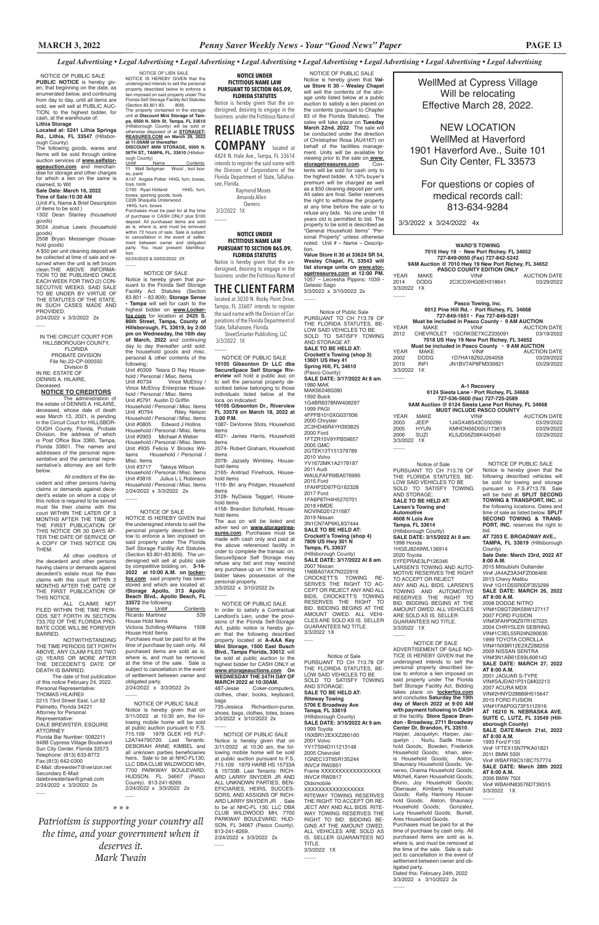WellMed at Cypress Village Will be relocating Effective March 28, 2022.

NEW LOCATION WellMed at Haverford 1901 Haverford Ave., Suite 101 Sun City Center, FL 33573

For questions or copies of medical records call: 813-634-9284

3/3/2022 x 3/24/2022 4x

 $\overline{\phantom{a}}$ 

 $\overline{\phantom{a}}$ 

 $\overline{\phantom{a}}$ 

 $\overline{\phantom{a}}$ 

of this notice February 24, 2022. Personal Representative: THOMAS HILAIREIL 2215 73rd Street East, Lot 92 Palmetto, Florida 34221 Attorney for Personal Representative: DALE BREWSTER, ESQUIRE ATTORNEY Florida Bar Number: 0082211 948B Cypress Village Boulevard Sun City Center, Florida 33573 Telephone: (813) 633-8772 Fax:(813) 642-0300 E-Mail: dbrewster7@verizon.net Secondary E-Mail: dalebrewsterlaw@gmail.com 2/24/2022 x 3/3/2022 2x  $\overline{\phantom{a}}$ 

IN THE CIRCUIT COURT FOR HILLSBOROUGH COUNTY, FLORIDA PROBATE DIVISION File No.22-CP-000550 Division B IN RE: ESTATE OF DENNIS A. HILAIRE, Deceased.

#### **NOTICE TO CREDITORS** The administration of the estate of DENNIS A. HILAIRE, deceased, whose date of death was March 13, 2021, is pending in the Circuit Court for HILLSBOR-OUGH County, Florida, Probate Division, the address of which is Post Office Box 3360, Tampa, Florida 33601. The names and addresses of the personal representative and the personal representative's attorney are set forth

below.

 All creditors of the decedent and other persons having claims or demands against decedent's estate on whom a copy of this notice is required to be served must file their claims with this court WITHIN THE LATER OF 3 MONTHS AFTER THE TIME OF THE FIRST PUBLICATION OF THIS NOTICE OR 30 DAYS AF-TER THE DATE OF SERVICE OF A COPY OF THIS NOTICE ON THEM.

2/24/2022 x 3/3/2022 2x  $\overline{\phantom{a}}$ 

All other creditors of the decedent and other persons having claims or demands against decedent's estate must file their claims with this court WITHIN 3 MONTHS AFTER THE DATE OF THE FIRST PUBLICATION OF THIS NOTICE.

ALL CLAIMS NOT FILED WITHIN THE TIME PERI-ODS SET FORTH IN SECTION 733.702 OF THE FLORIDA PRO-BATE CODE WILL BE FOREVER BARRED.

NOTWITHSTANDING THE TIME PERIODS SET FORTH ABOVE, ANY CLAIM FILED TWO (2) YEARS OR MORE AFTER THE DECEDENT'S DATE OF DEATH IS BARRED.

The date of first publication

 NOTICE OF PUBLIC SALE **PUBLIC NOTICE** is hereby given, that beginning on the date, as enumerated below, and continuing from day to day, until all items are sold, we will sell at PUBLIC AUC-TION, to the highest bidder, for cash, at the warehouse of:

#### **Lithia Storage Located at: 5241 Lithia Springs Rd., Lithia, FL 33547** (Hillsbor-

tion. 02/24/2022 & 03/03/2022 2X  $\overline{\phantom{a}}$ 

ough County). The following goods, wares and Items will be sold through online auction services of **www.selfstorageauction.com** and merchandise for storage and other charges for which a lien on the same is claimed, to Wit

# **Sale Date: March 16, 2022**

Unit #0309 Teiara D Ray Household / Personal / Misc. Items Unit #0734 Vince McElroy / Vince McElroy Enterprise Household / Personal / Misc. Items Unit #0791 Austin D Griffin Household / Personal / Misc. Items Unit #0794 Riley Nelson Household / Personal / Misc. Items<br>Unit #0805 Edward J Hollins Edward J Hollins Household / Personal / Misc. Items Unit #0903 Michael A Weber Household / Personal / Misc. Items Unit #935 Felicia V Brooks Williams Household / Personal / Misc. Items<br>Unit #3717 Takeya Wilson

**Time of Sale:10:30 AM** (Unit #'s, Name & Brief Description of items to be sold )

1302 Dean Stanley (household goods)

3024 Joshua Lewis (household goods)

2508 Bryan Messenger (household goods)

> Household / Personal / Misc. Items Unit #3816 Julius L L Robinson Household / Personal / Misc. Items 2/24/2022 x 3/3/2022 2x  $\overline{\phantom{a}}$

A \$50 per unit cleaning deposit will be collected at time of sale and returned when the unit is left broom clean.THE ABOVE INFORMA-TION TO BE PUBLISHED ONCE EACH WEEK FOR TWO (2) CON-SECUTIVE WEEKS. SAID SALE TO BE UNDER BY VIRTUE OF THE STATUTES OF THE STATE, IN SUCH CASES MADE AND PROVIDED.

### NOTICE OF SALE

# $\overline{\phantom{a}}$ **NOTICE UNDER**

 StreetSmarter Publishing, LLC 3/3/2022 1X  $\overline{\phantom{a}}$ 

NOTICE IS HEREBY GIVEN that the undersigned intends to sell the personal property described below to enforce a lien imposed on said property under The Florida Self Storage Facility Act Statutes (Section 83.801-83.809). The undersigned will sell at public sale by competitive bidding on, **3-16- 2022 at 10:00 A.M. on lockerfox.com** said property has been stored and which are located at: **iStorage Apollo, 313 Apollo Beach Blvd., Apollo Beach, FL 33572** the following:

 NOTICE OF PUBLIC SALE **10105 Gibsonton Dr LLC dba SecureSpace Self Storage Riverview** will hold a public auc on to sell the personal property described below belonging to those individuals listed below at the loca on indicated: **10105 Gibsonton Dr., Riverview FL 33578 on March 18, 2022 at 3:00 P.M.** 1087- DeVonne Stots, Household items 4021- James Harris, Household items 2074- Robert Graham, Household items 2078- Jazsidy Wimbley, Household items 2165- Anitriad Finefrock, Household items 1116- Bri any Pridgen, Household items 3128- NyDasia Taggart, Household items 4158- Brandon Schofield, Household items The auc on will be listed and adver sed on **www.storagetreasures.com**. Purchases must be made with cash only and paid at the above referenced facility in order to complete the transac on. SecureSpace Self Storage may refuse any bid and may rescind any purchase up un l the winning bidder takes possession of the personal property. 3/3/2022 x 3/10/2022 2x  $\overline{\phantom{a}}$ NOTICE OF PUBLIC SALE

| Name                    | Unit#                       | Contents |
|-------------------------|-----------------------------|----------|
| <b>Ricardo Martinez</b> |                             | 539      |
| House Hold Items        |                             |          |
|                         | Victoria Schilling-Williams | 1508     |
| House Hold Items        |                             |          |

House Hold Items Purchases must be paid for at the time of purchase by cash only. All purchased items are sold as is, where is, and must be removed at the time of the sale. Sale is subject to cancellation in the event of settlement between owner and

obligated party. 2/24/2022 x 3/3/2022 2x

 $\overline{\phantom{a}}$ 

NOTICE OF PUBLIC SALE

Notice is hereby given that on 3/11/2022 at 10:30 am, the following mobile home will be sold at public auction pursuant to F.S. 715.109 1978 GLEK HS FLF-L2A744790720. Last Tenants: DEBORAH ANNE KIMBEL and all unknown parties beneficiaries heirs. Sale to be at NHC-FL130 LLC DBA CLUB WILDWOOD MH, 7700 PARKWAY BOULEVARD, HUDSON, FL 34667 (Pasco County). 813-241-8269. 2/24/2022 x 3/3/2022 2x

3/3/2022 x 3/10/2022 2x  $\overline{\phantom{a}}$ 

### NOTICE OF PUBLIC SALE

Notice is hereby given that on 3/11/2022 at 10:30 am, the following mobile home will be sold at public auction pursuant to F.S. 715.109 1979 HARB HS 15733A & 15733B. Last Tenants: RICH-ARD LARRY SNYDER JR AND ALL UNKNOWN PARTIES, BEN-EFICIARIES, HEIRS, SUCCES-SORS, AND ASSIGNS OF RICH-ARD LARRY SNYDER JR . Sale to be at NHC-FL 130, LLC DBA CLUB WILDWOOD MH, 7700 PARKWAY BOULEVARD, HUD-SON, FL 34667 (Pasco County). 813-241-8269. 2/24/2022 x 3/3/2022 2x

 $\overline{\phantom{a}}$ 

 $\overline{\phantom{a}}$ 

Notice of Public Sale PURSUANT TO CH 713.78 OF THE FLORIDA STATUTES, BE-LOW SAID VEHICLES TO BE SOLD TO SATISFY TOWING AND STORAGE AT: **SALE TO BE HELD AT: Crockett's Towing (shop 3) 13601 US Hwy 41 Spring Hill, FL 34610** (Pasco County) **SALE DATE: 3/17/2022 At 8 am**. 1980 MAK MAK562460280 1992 Buick 1G4BR8378NW408297 1999 PAGI 4FPFB1010XG037936 2000 Chrysler 2C3HD46R4YH393825 2000 Ford 1FTZR15V9YPB59657 2005 GMC 2GTEK13T151379789 2010 Volvo YV1672MK1A2178187 2011 Audi WAULFAFR9BA076995 2015 Ford 1FAHP2D97FG162328 2017 Ford 1FA6P8TH4H5270701 2018 HMDE NOVIN0201211687 2019 Nissan 3N1CN7AP6KL837444 **SALE TO BE HELD AT: Crockett's Towing (shop 4) 7809 US Hwy 301 N Tampa, FL 33637** (Hillsborough County) **SALE DATE: 3/17/2022 At 8 am**. 2007 Nissan 1N6BA07AX7N222916 CROCKETT'S TOWING RE-SERVES THE RIGHT TO AC-CEPT OR REJECT ANY AND ALL BIDS. CROCKETT'S TOWING RESERVES THE RIGHT TO BID. BIDDING BEGINS AT THE AMOUNT OWED. ALL VEHI-CLES ARE SOLD AS IS. SELLER GUARANTEES NO TITLE. 3/3/2022 1X  $\overline{\phantom{a}}$ 

 NOTICE OF LIEN SALE NOTICE IS HEREBY GIVEN that the undersigned intends to sell the personal property described below to enforce a

lien imposed on said property under The Florida Self Storage Facility Act Statutes (Section 83.801-83. 809).<br>The property contained in the storage<br>unit at **Discount Mini Storage of Tampa, 6500 N. 56th St. Tampa, FL 33610**  (Hillsborough County) will be sold or otherwise disposed of at **STORAGET-REASURES.COM on March 29, 2022** 

**at 11:00AM or thereafter**: **DISCOUNT MINI STORAGE, 6500 N. 56TH ST., TAMPA, FL. 33610** (Hillsborough County)

Unit# Name Contents 11 Matt Seligman Wood , tool boxes, paint A147 Angela Potter HHG, furn, boxes,

toys, tools C193 Ryan Holland HHG, furn, boxes, sporting goods, tools C226 Shaquilla Underwood

 HHG, furn, boxes Purchases must be paid for at the time of purchase in CASH ONLY plus \$100 deposit. All purchased items are sold as is, where is, and must be removed within 72 hours of sale. Sale is subject to cancellation in the event of settle-ment between owner and obligated party. You must present Identifica-

> 3/3/2022 1X  $\overline{\phantom{a}}$

NOTICE OF SALE Notice is hereby given that pursuant to the Florida Self Storage Facility Act Statutes (Section 83.801 – 83.809); **Storage Sense - Tampa** will sell for cash to the highest bidder on **www.Lockerfox.com** for location at **2425 S. 86th Street, Tampa, County of Hillsborough, FL 33619, by 2:00 pm on Wednesday, the 16th day of March, 2022** and continuing day to day thereafter until sold: the household goods and misc. personal & other contents of the following:

> **SALE DATE: MARCH 27, 2022 AT 8:00 A.M.** 2001 JAGUAR S-TYPE VIN#SAJDA01P31GM02213 2007 ACURA MDX VIN#2HNYD28889H515647 2015 FORD FUSION VIN#1FA6P0G73F5112916 **AT 16210 N. NEBRASKA AVE. SUITE C, LUTZ, FL 33549 (Hillsborough County) SALE DATE:March 21st, 2022 AT 8:00 A.M.** 1993 Ford F150 Vin# 1FTEX15N7PKA01821 2011 BMW 550I Vin# WBAFR9C51BC757774 **SALE DATE: March 28th 2022 AT 8:00 A.M.** 2006 BMW 750I Vin# WBAHN83576DT39315 3/3/2022 1X  $\overline{\phantom{a}}$

**NOTICE UNDER FICTITIOUS NAME LAW PURSUANT TO SECTION 865.09, FLORIDA STATUTES**

Notice is hereby given that the undersigned, desiring to engage in the business under the Fictitious Name of

# **RELIABLE TRUSS COMPANY** located at

4824 N. Hale Ave., Tampa, FL 33614 intends to register the said name with the Division of Corporations of the Florida Department of State, Tallahassee, Florida. Raymond Moses

 Amanda Allen **Owners** 3/3/2022 1X

### **FICTITIOUS NAME LAW PURSUANT TO SECTION 865.09, FLORIDA STATUTES**

Notice is hereby given that the undersigned, desiring to engage in the business under the Fictitious Name of

# **THE CLIENT FARM**

located at 3030 N. Rocky Point Drive, Tampa, FL 33607 intends to register the said name with the Division of Corporations of the Florida Department of State, Tallahassee, Florida.

In order to satisfy a Contractual Landlord's Lien, under the provisions of the Florida Self-Storage Act, public notice is hereby given that the following described property located at **A-AAA Key Mini Storage, 1500 East Busch Blvd., Tampa Florida, 33612**, will be sold at public auction to the highest bidder for CASH ONLY at **www.storageauctions.com On WEDNESDAY THE 24TH DAY OF MARCH 2022 at 10:30AM.**<br>487-Jesse Coker-com Coker-computers, clothes, chair, books, keyboard, bags

735-Jessica Richardson-purse, shoes, bags, clothes, totes, boxes 3/3/2022 x 3/10/2022 2x

*\* \* \** 

 $\overline{\phantom{a}}$ 

*Patriotism is supporting your country all the time, and your government when it deserves it.*

*Mark Twain*

 NOTICE OF PUBLIC SALE Notice is hereby given that **Val-ue Store It 30 – Wesley Chapel**  will sell the contents of the storage units listed below at a public auction to satisfy a lien placed on the contents (pursuant to Chapter 83 of the Florida Statutes). The sales will take place on **Tuesday March 22nd, 2022**. The sale will be conducted under the direction of Christopher Rosa (AU4167) on behalf of the facilities management. Units will be available for viewing prior to the sale on **www. storagetreasures.com**. Contents will be sold for cash only to the highest bidder. A 10% buyer's premium will be charged as well as a \$50 cleaning deposit per unit. All sales are final. Seller reserves the right to withdraw the property at any time before the sale or to refuse any bids. No one under 16 years old is permitted to bid. The property to be sold is described as "General Household Items" "Personal Property" unless otherwise noted. Unit # – Name – Descrip-

tion. **Value Store It 30 at 33624 SR 54, Wesley Chapel, FL 33543 will list storage units on www.storagetreasures.com at 12:00 PM.**  1057 – Lecresha Pippins; 1039 - Gelasio Sago

**WARD'S TOWING 7010 Hwy 19 • New Port Richey, FL 34652 727-849-0050 (Fax) 727-842-5242 9AM Auction @ 7010 Hwy 19 New Port Richey, FL 34652 PASCO COUNTY EDITION ONLY** YEAR MAKE VIN# AUCTION DATE 2014 DODG 2C3CDXHG0EH318641 03/29/2022 3/3/2022 1X

|                                                       |             | Pasco Towing, Inc.                         |                     |  |  |  |
|-------------------------------------------------------|-------------|--------------------------------------------|---------------------|--|--|--|
|                                                       |             | 6012 Pine Hill Rd. · Port Richey, FL 34668 |                     |  |  |  |
|                                                       |             | 727-849-1651 · Fax 727-849-5281            |                     |  |  |  |
| Must be included in Pasco County $\cdot$ 9 AM AUCTION |             |                                            |                     |  |  |  |
| <b>YEAR</b>                                           | MAKE        | VIN#                                       | <b>AUCTION DATE</b> |  |  |  |
|                                                       |             | 2012 CHEVROLET 1GCRKSE7XCZ335091           | 03/19/2022          |  |  |  |
| 7018 US Hwy 19 New Port Richey, FL 34652              |             |                                            |                     |  |  |  |
| Must be included in Pasco County • 9 AM AUCTION       |             |                                            |                     |  |  |  |
| YEAR                                                  | MAKE        | VIN#                                       | <b>AUCTION DATE</b> |  |  |  |
| 2002                                                  | <b>DODG</b> | 1D7HA18Z62J264058                          | 03/29/2022          |  |  |  |
| 2015                                                  | INFI        | JN1BV7AP8FM339821                          | 03/29/2022          |  |  |  |
| 3/3/2022 1X                                           |             |                                            |                     |  |  |  |
|                                                       |             |                                            |                     |  |  |  |

**A-1 Recovery 6124 Siesta Lane • Port Richey, FL 34668 727-536-5600 (fax) 727-725-2589 9AM Auction @ 6124 Siesta Lane Port Richey, FL 34668 MUST INCLUDE PASCO COUNTY** YEAR MAKE VIN# AUCTION DATE<br>2003 JEEP 1J4GX48S43C550290 03/29/2022 2003 JEEP 1J4GX48S43C550290 03/29/2022<br>2005 HYUN KMHDN56D05U173619 03/29/2022 2005 HYUN KMHDN56D05U173619 03/29/2022 KL5JD56Z06K443540 3/3/2022 1X

Notice of Sale PURSUANT TO CH 713.78 OF THE FLORIDA STATUTES, BE-LOW SAID VEHICLES TO BE SOLD TO SATISFY TOWING AND STORAGE: **SALE TO BE HELD AT: Larsen's Towing and Automotive 4608 N Lois Ave Tampa, FL 33614** (Hillsborough County) **SALE DATE: 3/15/2022 At 9 am**. 1998 Honda 1HGEJ8249WL136914 2020 Toyota 5YFEPRAE3LP126346 LARSEN'S TOWING AND AUTO-MOTIVE RESERVES THE RIGHT TO ACCEPT OR REJECT ANY AND ALL BIDS. LARSEN'S TOWING AND AUTOMOTIVE RESERVES THE RIGHT TO BID. BIDDING BEGINS AT THE AMOUNT OWED. ALL VEHICLES ARE SOLD AS IS. SELLER GUARANTEES NO TITLE. 3/3/2022 1X

Notice of Sale PURSUANT TO CH 713.78 OF THE FLORIDA STATUTES, BE-LOW SAID VEHICLES TO BE SOLD TO SATISFY TOWING AND STORAGE: **SALE TO BE HELD AT: Riteway Towing 5706 E Broadway Ave Tampa, FL 33619** (Hillsborough County) **SALE DATE: 3/15/2022 At 9 am**. 1999 Toyota 1NXBR12EXXZ260160 2001 Volvo YV1TS94D111213148 2005 Chevrolet 1GNEC13T65R135244 INVC# RW2851 Frame XXXXXXXXXXXXXXXX INVC# RW2817 **Oldsmobile** XXXXXXXXXXXXXXXXX RITEWAY TOWING RESERVES THE RIGHT TO ACCEPT OR RE-JECT ANY AND ALL BIDS. RITE-WAY TOWING RESERVES THE RIGHT TO BID. BIDDING BE-GINS AT THE AMOUNT OWED. ALL VEHICLES ARE SOLD AS IS. SELLER GUARANTEES NO TITLE.

 NOTICE OF SALE ADVERTISEMENT OF SALE NO-TICE IS HEREBY GIVEN that the undersigned intends to sell the personal property described below to enforce a lien imposed on property under The Self Storage Facility Act. Bidding takes place on **lockerfox.com** and concludes **Saturday the 19th day of March 2022 at 9:00 AM with payment following in CASH**  at the facility. **Store Space Brandon - Broadway, 2711 Broadway Center Dr, Brandon, FL 33510**. Harper, Jacquelyn; Harper, Jacquelyn ; Nurlu, Sadik Household Goods; Bowden, Frederick Household Goods; khan, alexis Household Goods; Alston, Shaunacy Household Goods; Venereo, Oraima Household Goods; Mitchell, Karen Household Goods; Bruno, Joy Household Goods; Obenauer, Kimberly Household Goods; Kelly, Harmony Household Goods; Alston, Shaunacy Household Goods; Gonzalez, Lucy Household Goods; Burrell, Ares Household Goods. Purchases must be paid for at the time of purchase by cash only. All purchased items are sold as is, where is, and must be removed at the time of the sale. Sale is subject to cancellation in the event of .<br>settlement between owner and obligated party.

Dated this: February 24th, 2022 3/3/2022 x 3/10/2022 2x

 $\overline{\phantom{a}}$ 

 NOTICE OF PUBLIC SALE Notice is hereby given that the following described vehicles will be sold for towing and storage pursuant to F.S.#713.78. Sale will be held at **SPLIT SECOND TOWING & TRANSPORT, INC.** at the following locations. Dates and time of sale as listed below. **SPLIT SECOND TOWING & TRANS-PORT, INC.** reserves the right to bid.

**AT 7203 E. BROADWAY AVE., TAMPA, FL 33619** (Hillsborough County) **Sale Date: March 23rd, 2022 AT 8:00 A.M.** 2015 Mitsubishi Outlander Vin# JA4AZ3A34FZ006466 2013 Chevy Malibu Vin# 1G11D5SR0DF353299 **SALE DATE: MARCH 26, 2022 AT 8:00 A.M.** 2008 DODGE NITRO VIN#1D8GT28K58W127117 2007 FORD FUSION VIN#3FAHP06Z97R167025 2004 CHRYSLER SEBRING VIN#1C3EL55R24N290630 1999 TOYOTA COROLLA VIN#1NXBR12E2XZ288258 2009 NISSAN SENTRA VIN#3N1AB61E69L606143